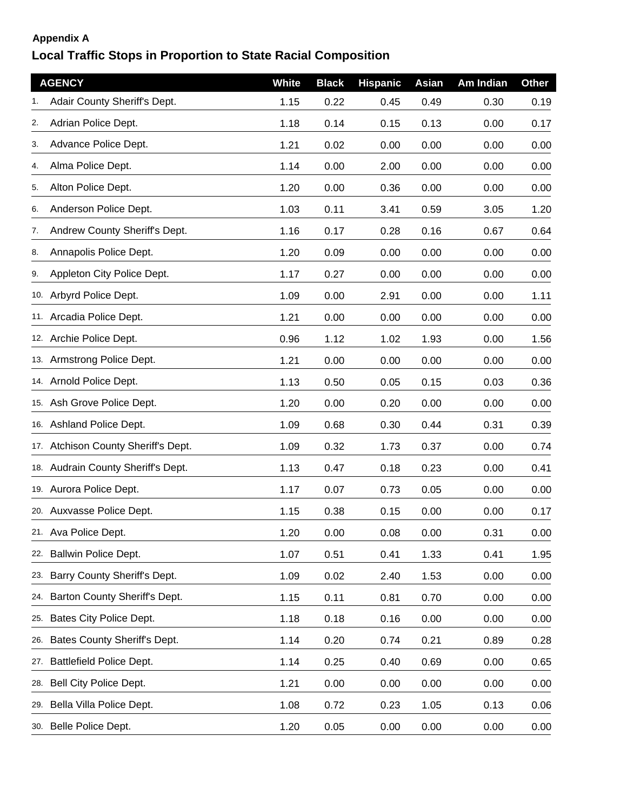## **Appendix A**

## **Local Traffic Stops in Proportion to State Racial Composition**

|     | <b>AGENCY</b>                       | <b>White</b> | <b>Black</b> | <b>Hispanic</b> | Asian | Am Indian | <b>Other</b> |
|-----|-------------------------------------|--------------|--------------|-----------------|-------|-----------|--------------|
|     | Adair County Sheriff's Dept.        | 1.15         | 0.22         | 0.45            | 0.49  | 0.30      | 0.19         |
| 2.  | Adrian Police Dept.                 | 1.18         | 0.14         | 0.15            | 0.13  | 0.00      | 0.17         |
| 3.  | Advance Police Dept.                | 1.21         | 0.02         | 0.00            | 0.00  | 0.00      | 0.00         |
| 4.  | Alma Police Dept.                   | 1.14         | 0.00         | 2.00            | 0.00  | 0.00      | 0.00         |
| 5.  | Alton Police Dept.                  | 1.20         | 0.00         | 0.36            | 0.00  | 0.00      | 0.00         |
| 6.  | Anderson Police Dept.               | 1.03         | 0.11         | 3.41            | 0.59  | 3.05      | 1.20         |
| 7.  | Andrew County Sheriff's Dept.       | 1.16         | 0.17         | 0.28            | 0.16  | 0.67      | 0.64         |
| 8.  | Annapolis Police Dept.              | 1.20         | 0.09         | 0.00            | 0.00  | 0.00      | 0.00         |
| 9.  | Appleton City Police Dept.          | 1.17         | 0.27         | 0.00            | 0.00  | 0.00      | 0.00         |
|     | 10. Arbyrd Police Dept.             | 1.09         | 0.00         | 2.91            | 0.00  | 0.00      | 1.11         |
|     | 11. Arcadia Police Dept.            | 1.21         | 0.00         | 0.00            | 0.00  | 0.00      | 0.00         |
|     | 12. Archie Police Dept.             | 0.96         | 1.12         | 1.02            | 1.93  | 0.00      | 1.56         |
|     | 13. Armstrong Police Dept.          | 1.21         | 0.00         | 0.00            | 0.00  | 0.00      | 0.00         |
|     | 14. Arnold Police Dept.             | 1.13         | 0.50         | 0.05            | 0.15  | 0.03      | 0.36         |
|     | 15. Ash Grove Police Dept.          | 1.20         | 0.00         | 0.20            | 0.00  | 0.00      | 0.00         |
|     | 16. Ashland Police Dept.            | 1.09         | 0.68         | 0.30            | 0.44  | 0.31      | 0.39         |
|     | 17. Atchison County Sheriff's Dept. | 1.09         | 0.32         | 1.73            | 0.37  | 0.00      | 0.74         |
|     | 18. Audrain County Sheriff's Dept.  | 1.13         | 0.47         | 0.18            | 0.23  | 0.00      | 0.41         |
|     | 19. Aurora Police Dept.             | 1.17         | 0.07         | 0.73            | 0.05  | 0.00      | 0.00         |
|     | 20. Auxvasse Police Dept.           | 1.15         | 0.38         | 0.15            | 0.00  | 0.00      | 0.17         |
|     | 21. Ava Police Dept.                | 1.20         | 0.00         | 0.08            | 0.00  | 0.31      | 0.00         |
|     | 22. Ballwin Police Dept.            | 1.07         | 0.51         | 0.41            | 1.33  | 0.41      | 1.95         |
| 23. | Barry County Sheriff's Dept.        | 1.09         | 0.02         | 2.40            | 1.53  | 0.00      | 0.00         |
| 24. | Barton County Sheriff's Dept.       | 1.15         | 0.11         | 0.81            | 0.70  | 0.00      | 0.00         |
|     | 25. Bates City Police Dept.         | 1.18         | 0.18         | 0.16            | 0.00  | 0.00      | 0.00         |
| 26. | Bates County Sheriff's Dept.        | 1.14         | 0.20         | 0.74            | 0.21  | 0.89      | 0.28         |
|     | 27. Battlefield Police Dept.        | 1.14         | 0.25         | 0.40            | 0.69  | 0.00      | 0.65         |
| 28. | Bell City Police Dept.              | 1.21         | 0.00         | 0.00            | 0.00  | 0.00      | 0.00         |
| 29. | Bella Villa Police Dept.            | 1.08         | 0.72         | 0.23            | 1.05  | 0.13      | 0.06         |
|     | 30. Belle Police Dept.              | 1.20         | 0.05         | 0.00            | 0.00  | 0.00      | 0.00         |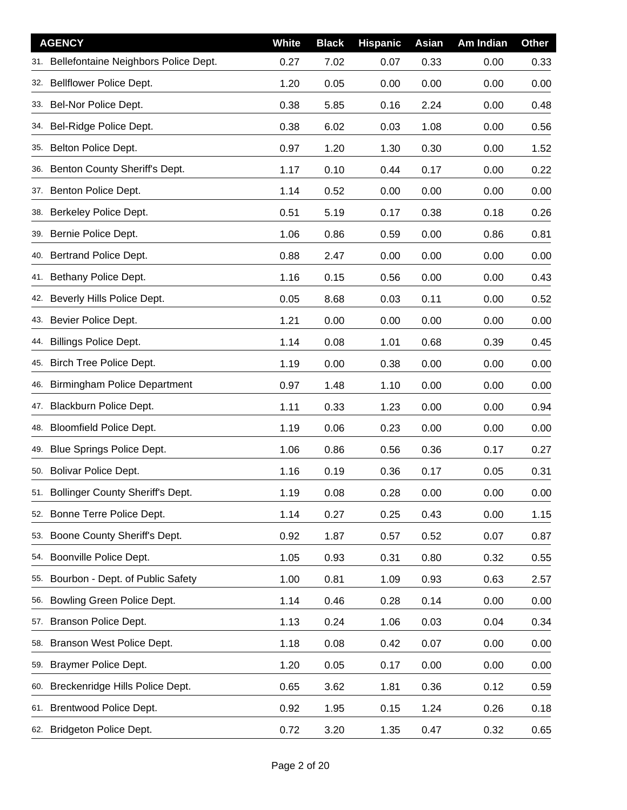|     | <b>AGENCY</b>                            | <b>White</b> | <b>Black</b> | <b>Hispanic</b> | Asian | Am Indian | <b>Other</b> |
|-----|------------------------------------------|--------------|--------------|-----------------|-------|-----------|--------------|
|     | 31. Bellefontaine Neighbors Police Dept. | 0.27         | 7.02         | 0.07            | 0.33  | 0.00      | 0.33         |
|     | 32. Bellflower Police Dept.              | 1.20         | 0.05         | 0.00            | 0.00  | 0.00      | 0.00         |
|     | 33. Bel-Nor Police Dept.                 | 0.38         | 5.85         | 0.16            | 2.24  | 0.00      | 0.48         |
|     | 34. Bel-Ridge Police Dept.               | 0.38         | 6.02         | 0.03            | 1.08  | 0.00      | 0.56         |
|     | 35. Belton Police Dept.                  | 0.97         | 1.20         | 1.30            | 0.30  | 0.00      | 1.52         |
|     | 36. Benton County Sheriff's Dept.        | 1.17         | 0.10         | 0.44            | 0.17  | 0.00      | 0.22         |
|     | 37. Benton Police Dept.                  | 1.14         | 0.52         | 0.00            | 0.00  | 0.00      | 0.00         |
|     | 38. Berkeley Police Dept.                | 0.51         | 5.19         | 0.17            | 0.38  | 0.18      | 0.26         |
|     | 39. Bernie Police Dept.                  | 1.06         | 0.86         | 0.59            | 0.00  | 0.86      | 0.81         |
|     | 40. Bertrand Police Dept.                | 0.88         | 2.47         | 0.00            | 0.00  | 0.00      | 0.00         |
|     | 41. Bethany Police Dept.                 | 1.16         | 0.15         | 0.56            | 0.00  | 0.00      | 0.43         |
| 42. | Beverly Hills Police Dept.               | 0.05         | 8.68         | 0.03            | 0.11  | 0.00      | 0.52         |
|     | 43. Bevier Police Dept.                  | 1.21         | 0.00         | 0.00            | 0.00  | 0.00      | 0.00         |
| 44. | <b>Billings Police Dept.</b>             | 1.14         | 0.08         | 1.01            | 0.68  | 0.39      | 0.45         |
| 45. | <b>Birch Tree Police Dept.</b>           | 1.19         | 0.00         | 0.38            | 0.00  | 0.00      | 0.00         |
| 46. | <b>Birmingham Police Department</b>      | 0.97         | 1.48         | 1.10            | 0.00  | 0.00      | 0.00         |
|     | 47. Blackburn Police Dept.               | 1.11         | 0.33         | 1.23            | 0.00  | 0.00      | 0.94         |
| 48. | <b>Bloomfield Police Dept.</b>           | 1.19         | 0.06         | 0.23            | 0.00  | 0.00      | 0.00         |
|     | 49. Blue Springs Police Dept.            | 1.06         | 0.86         | 0.56            | 0.36  | 0.17      | 0.27         |
| 50. | <b>Bolivar Police Dept.</b>              | 1.16         | 0.19         | 0.36            | 0.17  | 0.05      | 0.31         |
|     | 51. Bollinger County Sheriff's Dept.     | 1.19         | 0.08         | 0.28            | 0.00  | 0.00      | 0.00         |
| 52. | Bonne Terre Police Dept.                 | 1.14         | 0.27         | 0.25            | 0.43  | 0.00      | 1.15         |
| 53. | Boone County Sheriff's Dept.             | 0.92         | 1.87         | 0.57            | 0.52  | 0.07      | 0.87         |
| 54. | Boonville Police Dept.                   | 1.05         | 0.93         | 0.31            | 0.80  | 0.32      | 0.55         |
| 55. | Bourbon - Dept. of Public Safety         | 1.00         | 0.81         | 1.09            | 0.93  | 0.63      | 2.57         |
| 56. | Bowling Green Police Dept.               | 1.14         | 0.46         | 0.28            | 0.14  | 0.00      | 0.00         |
| 57. | Branson Police Dept.                     | 1.13         | 0.24         | 1.06            | 0.03  | 0.04      | 0.34         |
| 58. | Branson West Police Dept.                | 1.18         | 0.08         | 0.42            | 0.07  | 0.00      | 0.00         |
|     | 59. Braymer Police Dept.                 | 1.20         | 0.05         | 0.17            | 0.00  | 0.00      | 0.00         |
| 60. | Breckenridge Hills Police Dept.          | 0.65         | 3.62         | 1.81            | 0.36  | 0.12      | 0.59         |
|     | 61. Brentwood Police Dept.               | 0.92         | 1.95         | 0.15            | 1.24  | 0.26      | 0.18         |
|     | 62. Bridgeton Police Dept.               | 0.72         | 3.20         | 1.35            | 0.47  | 0.32      | 0.65         |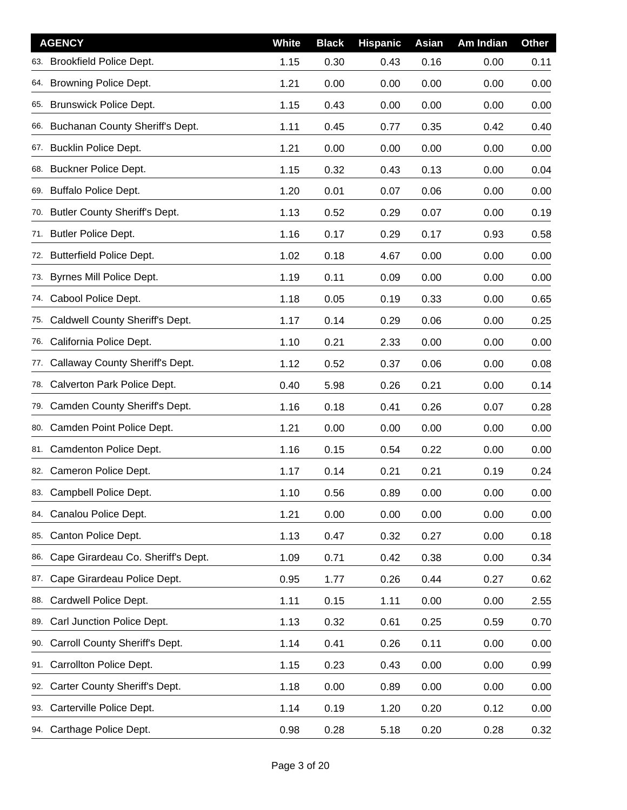|     | <b>AGENCY</b>                       | <b>White</b> | <b>Black</b> | <b>Hispanic</b> | Asian | Am Indian | <b>Other</b> |
|-----|-------------------------------------|--------------|--------------|-----------------|-------|-----------|--------------|
|     | 63. Brookfield Police Dept.         | 1.15         | 0.30         | 0.43            | 0.16  | 0.00      | 0.11         |
|     | 64. Browning Police Dept.           | 1.21         | 0.00         | 0.00            | 0.00  | 0.00      | 0.00         |
|     | 65. Brunswick Police Dept.          | 1.15         | 0.43         | 0.00            | 0.00  | 0.00      | 0.00         |
|     | 66. Buchanan County Sheriff's Dept. | 1.11         | 0.45         | 0.77            | 0.35  | 0.42      | 0.40         |
|     | 67. Bucklin Police Dept.            | 1.21         | 0.00         | 0.00            | 0.00  | 0.00      | 0.00         |
|     | 68. Buckner Police Dept.            | 1.15         | 0.32         | 0.43            | 0.13  | 0.00      | 0.04         |
|     | 69. Buffalo Police Dept.            | 1.20         | 0.01         | 0.07            | 0.06  | 0.00      | 0.00         |
|     | 70. Butler County Sheriff's Dept.   | 1.13         | 0.52         | 0.29            | 0.07  | 0.00      | 0.19         |
|     | 71. Butler Police Dept.             | 1.16         | 0.17         | 0.29            | 0.17  | 0.93      | 0.58         |
|     | 72. Butterfield Police Dept.        | 1.02         | 0.18         | 4.67            | 0.00  | 0.00      | 0.00         |
|     | 73. Byrnes Mill Police Dept.        | 1.19         | 0.11         | 0.09            | 0.00  | 0.00      | 0.00         |
| 74. | Cabool Police Dept.                 | 1.18         | 0.05         | 0.19            | 0.33  | 0.00      | 0.65         |
|     | 75. Caldwell County Sheriff's Dept. | 1.17         | 0.14         | 0.29            | 0.06  | 0.00      | 0.25         |
| 76. | California Police Dept.             | 1.10         | 0.21         | 2.33            | 0.00  | 0.00      | 0.00         |
|     | 77. Callaway County Sheriff's Dept. | 1.12         | 0.52         | 0.37            | 0.06  | 0.00      | 0.08         |
| 78. | Calverton Park Police Dept.         | 0.40         | 5.98         | 0.26            | 0.21  | 0.00      | 0.14         |
|     | 79. Camden County Sheriff's Dept.   | 1.16         | 0.18         | 0.41            | 0.26  | 0.07      | 0.28         |
| 80. | Camden Point Police Dept.           | 1.21         | 0.00         | 0.00            | 0.00  | 0.00      | 0.00         |
|     | 81. Camdenton Police Dept.          | 1.16         | 0.15         | 0.54            | 0.22  | 0.00      | 0.00         |
| 82. | Cameron Police Dept.                | 1.17         | 0.14         | 0.21            | 0.21  | 0.19      | 0.24         |
|     | 83. Campbell Police Dept.           | 1.10         | 0.56         | 0.89            | 0.00  | 0.00      | 0.00         |
| 84. | Canalou Police Dept.                | 1.21         | 0.00         | 0.00            | 0.00  | 0.00      | 0.00         |
| 85. | Canton Police Dept.                 | 1.13         | 0.47         | 0.32            | 0.27  | 0.00      | 0.18         |
| 86. | Cape Girardeau Co. Sheriff's Dept.  | 1.09         | 0.71         | 0.42            | 0.38  | 0.00      | 0.34         |
| 87. | Cape Girardeau Police Dept.         | 0.95         | 1.77         | 0.26            | 0.44  | 0.27      | 0.62         |
| 88. | Cardwell Police Dept.               | 1.11         | 0.15         | 1.11            | 0.00  | 0.00      | 2.55         |
| 89. | Carl Junction Police Dept.          | 1.13         | 0.32         | 0.61            | 0.25  | 0.59      | 0.70         |
| 90. | Carroll County Sheriff's Dept.      | 1.14         | 0.41         | 0.26            | 0.11  | 0.00      | 0.00         |
| 91. | Carrollton Police Dept.             | 1.15         | 0.23         | 0.43            | 0.00  | 0.00      | 0.99         |
| 92. | Carter County Sheriff's Dept.       | 1.18         | 0.00         | 0.89            | 0.00  | 0.00      | 0.00         |
| 93. | Carterville Police Dept.            | 1.14         | 0.19         | 1.20            | 0.20  | 0.12      | 0.00         |
|     | 94. Carthage Police Dept.           | 0.98         | 0.28         | 5.18            | 0.20  | 0.28      | 0.32         |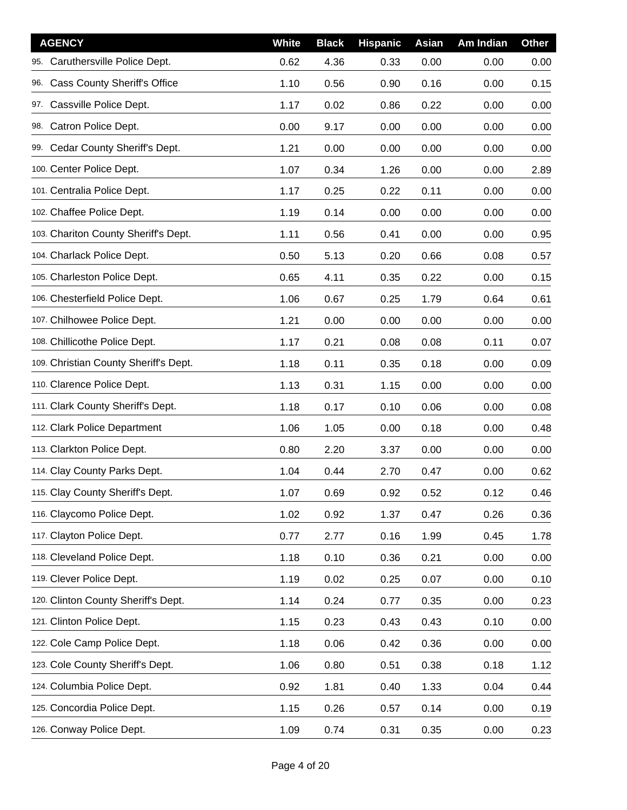| <b>AGENCY</b>                         | White | <b>Black</b> | <b>Hispanic</b> | Asian | Am Indian | <b>Other</b> |
|---------------------------------------|-------|--------------|-----------------|-------|-----------|--------------|
| 95. Caruthersville Police Dept.       | 0.62  | 4.36         | 0.33            | 0.00  | 0.00      | 0.00         |
| 96. Cass County Sheriff's Office      | 1.10  | 0.56         | 0.90            | 0.16  | 0.00      | 0.15         |
| Cassville Police Dept.<br>97.         | 1.17  | 0.02         | 0.86            | 0.22  | 0.00      | 0.00         |
| 98. Catron Police Dept.               | 0.00  | 9.17         | 0.00            | 0.00  | 0.00      | 0.00         |
| 99. Cedar County Sheriff's Dept.      | 1.21  | 0.00         | 0.00            | 0.00  | 0.00      | 0.00         |
| 100. Center Police Dept.              | 1.07  | 0.34         | 1.26            | 0.00  | 0.00      | 2.89         |
| 101. Centralia Police Dept.           | 1.17  | 0.25         | 0.22            | 0.11  | 0.00      | 0.00         |
| 102. Chaffee Police Dept.             | 1.19  | 0.14         | 0.00            | 0.00  | 0.00      | 0.00         |
| 103. Chariton County Sheriff's Dept.  | 1.11  | 0.56         | 0.41            | 0.00  | 0.00      | 0.95         |
| 104. Charlack Police Dept.            | 0.50  | 5.13         | 0.20            | 0.66  | 0.08      | 0.57         |
| 105. Charleston Police Dept.          | 0.65  | 4.11         | 0.35            | 0.22  | 0.00      | 0.15         |
| 106. Chesterfield Police Dept.        | 1.06  | 0.67         | 0.25            | 1.79  | 0.64      | 0.61         |
| 107. Chilhowee Police Dept.           | 1.21  | 0.00         | 0.00            | 0.00  | 0.00      | 0.00         |
| 108. Chillicothe Police Dept.         | 1.17  | 0.21         | 0.08            | 0.08  | 0.11      | 0.07         |
| 109. Christian County Sheriff's Dept. | 1.18  | 0.11         | 0.35            | 0.18  | 0.00      | 0.09         |
| 110. Clarence Police Dept.            | 1.13  | 0.31         | 1.15            | 0.00  | 0.00      | 0.00         |
| 111. Clark County Sheriff's Dept.     | 1.18  | 0.17         | 0.10            | 0.06  | 0.00      | 0.08         |
| 112. Clark Police Department          | 1.06  | 1.05         | 0.00            | 0.18  | 0.00      | 0.48         |
| 113. Clarkton Police Dept.            | 0.80  | 2.20         | 3.37            | 0.00  | 0.00      | 0.00         |
| 114. Clay County Parks Dept.          | 1.04  | 0.44         | 2.70            | 0.47  | 0.00      | 0.62         |
| 115. Clay County Sheriff's Dept.      | 1.07  | 0.69         | 0.92            | 0.52  | 0.12      | 0.46         |
| 116. Claycomo Police Dept.            | 1.02  | 0.92         | 1.37            | 0.47  | 0.26      | 0.36         |
| 117. Clayton Police Dept.             | 0.77  | 2.77         | 0.16            | 1.99  | 0.45      | 1.78         |
| 118. Cleveland Police Dept.           | 1.18  | 0.10         | 0.36            | 0.21  | 0.00      | 0.00         |
| 119. Clever Police Dept.              | 1.19  | 0.02         | 0.25            | 0.07  | 0.00      | 0.10         |
| 120. Clinton County Sheriff's Dept.   | 1.14  | 0.24         | 0.77            | 0.35  | 0.00      | 0.23         |
| 121. Clinton Police Dept.             | 1.15  | 0.23         | 0.43            | 0.43  | 0.10      | 0.00         |
| 122. Cole Camp Police Dept.           | 1.18  | 0.06         | 0.42            | 0.36  | 0.00      | 0.00         |
| 123. Cole County Sheriff's Dept.      | 1.06  | 0.80         | 0.51            | 0.38  | 0.18      | 1.12         |
| 124. Columbia Police Dept.            | 0.92  | 1.81         | 0.40            | 1.33  | 0.04      | 0.44         |
| 125. Concordia Police Dept.           | 1.15  | 0.26         | 0.57            | 0.14  | 0.00      | 0.19         |
| 126. Conway Police Dept.              | 1.09  | 0.74         | 0.31            | 0.35  | 0.00      | 0.23         |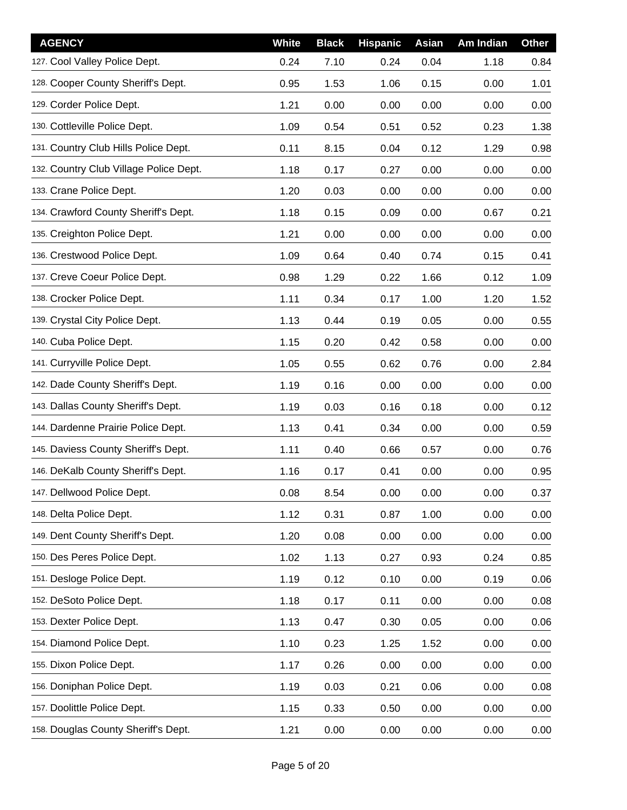| <b>AGENCY</b>                          | <b>White</b> | <b>Black</b> | <b>Hispanic</b> | Asian | Am Indian | <b>Other</b> |
|----------------------------------------|--------------|--------------|-----------------|-------|-----------|--------------|
| 127. Cool Valley Police Dept.          | 0.24         | 7.10         | 0.24            | 0.04  | 1.18      | 0.84         |
| 128. Cooper County Sheriff's Dept.     | 0.95         | 1.53         | 1.06            | 0.15  | 0.00      | 1.01         |
| 129. Corder Police Dept.               | 1.21         | 0.00         | 0.00            | 0.00  | 0.00      | 0.00         |
| 130. Cottleville Police Dept.          | 1.09         | 0.54         | 0.51            | 0.52  | 0.23      | 1.38         |
| 131. Country Club Hills Police Dept.   | 0.11         | 8.15         | 0.04            | 0.12  | 1.29      | 0.98         |
| 132. Country Club Village Police Dept. | 1.18         | 0.17         | 0.27            | 0.00  | 0.00      | 0.00         |
| 133. Crane Police Dept.                | 1.20         | 0.03         | 0.00            | 0.00  | 0.00      | 0.00         |
| 134. Crawford County Sheriff's Dept.   | 1.18         | 0.15         | 0.09            | 0.00  | 0.67      | 0.21         |
| 135. Creighton Police Dept.            | 1.21         | 0.00         | 0.00            | 0.00  | 0.00      | 0.00         |
| 136. Crestwood Police Dept.            | 1.09         | 0.64         | 0.40            | 0.74  | 0.15      | 0.41         |
| 137. Creve Coeur Police Dept.          | 0.98         | 1.29         | 0.22            | 1.66  | 0.12      | 1.09         |
| 138. Crocker Police Dept.              | 1.11         | 0.34         | 0.17            | 1.00  | 1.20      | 1.52         |
| 139. Crystal City Police Dept.         | 1.13         | 0.44         | 0.19            | 0.05  | 0.00      | 0.55         |
| 140. Cuba Police Dept.                 | 1.15         | 0.20         | 0.42            | 0.58  | 0.00      | 0.00         |
| 141. Curryville Police Dept.           | 1.05         | 0.55         | 0.62            | 0.76  | 0.00      | 2.84         |
| 142. Dade County Sheriff's Dept.       | 1.19         | 0.16         | 0.00            | 0.00  | 0.00      | 0.00         |
| 143. Dallas County Sheriff's Dept.     | 1.19         | 0.03         | 0.16            | 0.18  | 0.00      | 0.12         |
| 144. Dardenne Prairie Police Dept.     | 1.13         | 0.41         | 0.34            | 0.00  | 0.00      | 0.59         |
| 145. Daviess County Sheriff's Dept.    | 1.11         | 0.40         | 0.66            | 0.57  | 0.00      | 0.76         |
| 146. DeKalb County Sheriff's Dept.     | 1.16         | 0.17         | 0.41            | 0.00  | 0.00      | 0.95         |
| 147. Dellwood Police Dept.             | 0.08         | 8.54         | 0.00            | 0.00  | 0.00      | 0.37         |
| 148. Delta Police Dept.                | 1.12         | 0.31         | 0.87            | 1.00  | 0.00      | 0.00         |
| 149. Dent County Sheriff's Dept.       | 1.20         | 0.08         | 0.00            | 0.00  | 0.00      | 0.00         |
| 150. Des Peres Police Dept.            | 1.02         | 1.13         | 0.27            | 0.93  | 0.24      | 0.85         |
| 151. Desloge Police Dept.              | 1.19         | 0.12         | 0.10            | 0.00  | 0.19      | 0.06         |
| 152. DeSoto Police Dept.               | 1.18         | 0.17         | 0.11            | 0.00  | 0.00      | 0.08         |
| 153. Dexter Police Dept.               | 1.13         | 0.47         | 0.30            | 0.05  | 0.00      | 0.06         |
| 154. Diamond Police Dept.              | 1.10         | 0.23         | 1.25            | 1.52  | 0.00      | 0.00         |
| 155. Dixon Police Dept.                | 1.17         | 0.26         | 0.00            | 0.00  | 0.00      | 0.00         |
| 156. Doniphan Police Dept.             | 1.19         | 0.03         | 0.21            | 0.06  | 0.00      | 0.08         |
| 157. Doolittle Police Dept.            | 1.15         | 0.33         | 0.50            | 0.00  | 0.00      | 0.00         |
| 158. Douglas County Sheriff's Dept.    | 1.21         | 0.00         | 0.00            | 0.00  | 0.00      | 0.00         |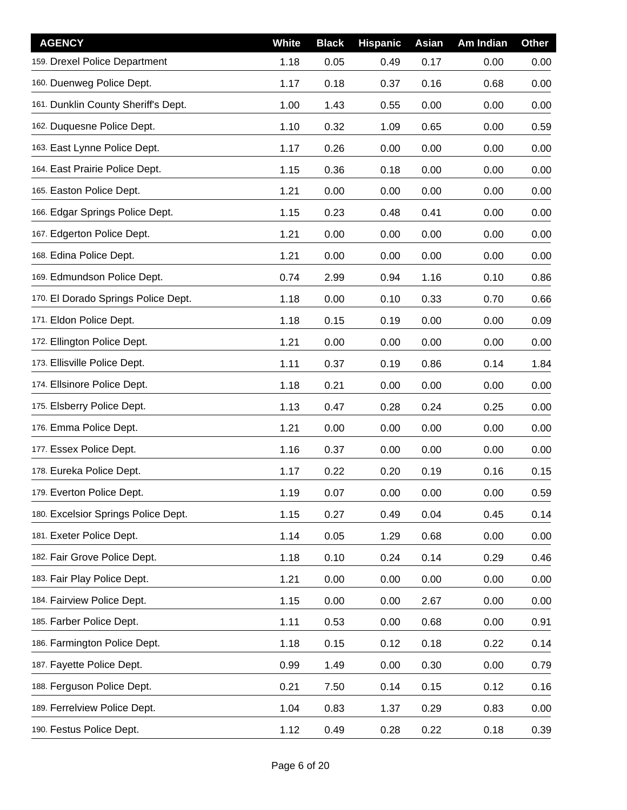| <b>AGENCY</b>                       | White | <b>Black</b> | <b>Hispanic</b> | Asian | Am Indian | <b>Other</b> |
|-------------------------------------|-------|--------------|-----------------|-------|-----------|--------------|
| 159. Drexel Police Department       | 1.18  | 0.05         | 0.49            | 0.17  | 0.00      | 0.00         |
| 160. Duenweg Police Dept.           | 1.17  | 0.18         | 0.37            | 0.16  | 0.68      | 0.00         |
| 161. Dunklin County Sheriff's Dept. | 1.00  | 1.43         | 0.55            | 0.00  | 0.00      | 0.00         |
| 162. Duquesne Police Dept.          | 1.10  | 0.32         | 1.09            | 0.65  | 0.00      | 0.59         |
| 163. East Lynne Police Dept.        | 1.17  | 0.26         | 0.00            | 0.00  | 0.00      | 0.00         |
| 164. East Prairie Police Dept.      | 1.15  | 0.36         | 0.18            | 0.00  | 0.00      | 0.00         |
| 165. Easton Police Dept.            | 1.21  | 0.00         | 0.00            | 0.00  | 0.00      | 0.00         |
| 166. Edgar Springs Police Dept.     | 1.15  | 0.23         | 0.48            | 0.41  | 0.00      | 0.00         |
| 167. Edgerton Police Dept.          | 1.21  | 0.00         | 0.00            | 0.00  | 0.00      | 0.00         |
| 168. Edina Police Dept.             | 1.21  | 0.00         | 0.00            | 0.00  | 0.00      | 0.00         |
| 169. Edmundson Police Dept.         | 0.74  | 2.99         | 0.94            | 1.16  | 0.10      | 0.86         |
| 170. El Dorado Springs Police Dept. | 1.18  | 0.00         | 0.10            | 0.33  | 0.70      | 0.66         |
| 171. Eldon Police Dept.             | 1.18  | 0.15         | 0.19            | 0.00  | 0.00      | 0.09         |
| 172. Ellington Police Dept.         | 1.21  | 0.00         | 0.00            | 0.00  | 0.00      | 0.00         |
| 173. Ellisville Police Dept.        | 1.11  | 0.37         | 0.19            | 0.86  | 0.14      | 1.84         |
| 174. Ellsinore Police Dept.         | 1.18  | 0.21         | 0.00            | 0.00  | 0.00      | 0.00         |
| 175. Elsberry Police Dept.          | 1.13  | 0.47         | 0.28            | 0.24  | 0.25      | 0.00         |
| 176. Emma Police Dept.              | 1.21  | 0.00         | 0.00            | 0.00  | 0.00      | 0.00         |
| 177. Essex Police Dept.             | 1.16  | 0.37         | 0.00            | 0.00  | 0.00      | 0.00         |
| 178. Eureka Police Dept.            | 1.17  | 0.22         | 0.20            | 0.19  | 0.16      | 0.15         |
| 179. Everton Police Dept.           | 1.19  | 0.07         | 0.00            | 0.00  | 0.00      | 0.59         |
| 180. Excelsior Springs Police Dept. | 1.15  | 0.27         | 0.49            | 0.04  | 0.45      | 0.14         |
| 181. Exeter Police Dept.            | 1.14  | 0.05         | 1.29            | 0.68  | 0.00      | 0.00         |
| 182. Fair Grove Police Dept.        | 1.18  | 0.10         | 0.24            | 0.14  | 0.29      | 0.46         |
| 183. Fair Play Police Dept.         | 1.21  | 0.00         | 0.00            | 0.00  | 0.00      | 0.00         |
| 184. Fairview Police Dept.          | 1.15  | 0.00         | 0.00            | 2.67  | 0.00      | 0.00         |
| 185. Farber Police Dept.            | 1.11  | 0.53         | 0.00            | 0.68  | 0.00      | 0.91         |
| 186. Farmington Police Dept.        | 1.18  | 0.15         | 0.12            | 0.18  | 0.22      | 0.14         |
| 187. Fayette Police Dept.           | 0.99  | 1.49         | 0.00            | 0.30  | 0.00      | 0.79         |
| 188. Ferguson Police Dept.          | 0.21  | 7.50         | 0.14            | 0.15  | 0.12      | 0.16         |
| 189. Ferrelview Police Dept.        | 1.04  | 0.83         | 1.37            | 0.29  | 0.83      | 0.00         |
| 190. Festus Police Dept.            | 1.12  | 0.49         | 0.28            | 0.22  | 0.18      | 0.39         |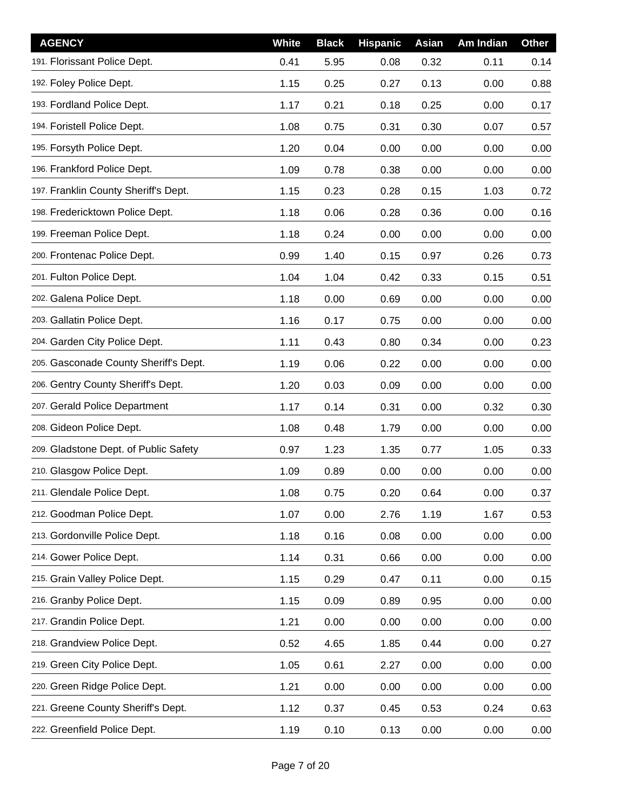| <b>AGENCY</b>                         | White | <b>Black</b> | <b>Hispanic</b> | Asian | Am Indian | Other |
|---------------------------------------|-------|--------------|-----------------|-------|-----------|-------|
| 191. Florissant Police Dept.          | 0.41  | 5.95         | 0.08            | 0.32  | 0.11      | 0.14  |
| 192. Foley Police Dept.               | 1.15  | 0.25         | 0.27            | 0.13  | 0.00      | 0.88  |
| 193. Fordland Police Dept.            | 1.17  | 0.21         | 0.18            | 0.25  | 0.00      | 0.17  |
| 194. Foristell Police Dept.           | 1.08  | 0.75         | 0.31            | 0.30  | 0.07      | 0.57  |
| 195. Forsyth Police Dept.             | 1.20  | 0.04         | 0.00            | 0.00  | 0.00      | 0.00  |
| 196. Frankford Police Dept.           | 1.09  | 0.78         | 0.38            | 0.00  | 0.00      | 0.00  |
| 197. Franklin County Sheriff's Dept.  | 1.15  | 0.23         | 0.28            | 0.15  | 1.03      | 0.72  |
| 198. Fredericktown Police Dept.       | 1.18  | 0.06         | 0.28            | 0.36  | 0.00      | 0.16  |
| 199. Freeman Police Dept.             | 1.18  | 0.24         | 0.00            | 0.00  | 0.00      | 0.00  |
| 200. Frontenac Police Dept.           | 0.99  | 1.40         | 0.15            | 0.97  | 0.26      | 0.73  |
| 201. Fulton Police Dept.              | 1.04  | 1.04         | 0.42            | 0.33  | 0.15      | 0.51  |
| 202. Galena Police Dept.              | 1.18  | 0.00         | 0.69            | 0.00  | 0.00      | 0.00  |
| 203. Gallatin Police Dept.            | 1.16  | 0.17         | 0.75            | 0.00  | 0.00      | 0.00  |
| 204. Garden City Police Dept.         | 1.11  | 0.43         | 0.80            | 0.34  | 0.00      | 0.23  |
| 205. Gasconade County Sheriff's Dept. | 1.19  | 0.06         | 0.22            | 0.00  | 0.00      | 0.00  |
| 206. Gentry County Sheriff's Dept.    | 1.20  | 0.03         | 0.09            | 0.00  | 0.00      | 0.00  |
| 207. Gerald Police Department         | 1.17  | 0.14         | 0.31            | 0.00  | 0.32      | 0.30  |
| 208. Gideon Police Dept.              | 1.08  | 0.48         | 1.79            | 0.00  | 0.00      | 0.00  |
| 209. Gladstone Dept. of Public Safety | 0.97  | 1.23         | 1.35            | 0.77  | 1.05      | 0.33  |
| 210. Glasgow Police Dept.             | 1.09  | 0.89         | 0.00            | 0.00  | 0.00      | 0.00  |
| 211. Glendale Police Dept.            | 1.08  | 0.75         | 0.20            | 0.64  | 0.00      | 0.37  |
| 212. Goodman Police Dept.             | 1.07  | 0.00         | 2.76            | 1.19  | 1.67      | 0.53  |
| 213. Gordonville Police Dept.         | 1.18  | 0.16         | 0.08            | 0.00  | 0.00      | 0.00  |
| 214. Gower Police Dept.               | 1.14  | 0.31         | 0.66            | 0.00  | 0.00      | 0.00  |
| 215. Grain Valley Police Dept.        | 1.15  | 0.29         | 0.47            | 0.11  | 0.00      | 0.15  |
| 216. Granby Police Dept.              | 1.15  | 0.09         | 0.89            | 0.95  | 0.00      | 0.00  |
| 217. Grandin Police Dept.             | 1.21  | 0.00         | 0.00            | 0.00  | 0.00      | 0.00  |
| 218. Grandview Police Dept.           | 0.52  | 4.65         | 1.85            | 0.44  | 0.00      | 0.27  |
| 219. Green City Police Dept.          | 1.05  | 0.61         | 2.27            | 0.00  | 0.00      | 0.00  |
| 220. Green Ridge Police Dept.         | 1.21  | 0.00         | 0.00            | 0.00  | 0.00      | 0.00  |
| 221. Greene County Sheriff's Dept.    | 1.12  | 0.37         | 0.45            | 0.53  | 0.24      | 0.63  |
| 222. Greenfield Police Dept.          | 1.19  | 0.10         | 0.13            | 0.00  | 0.00      | 0.00  |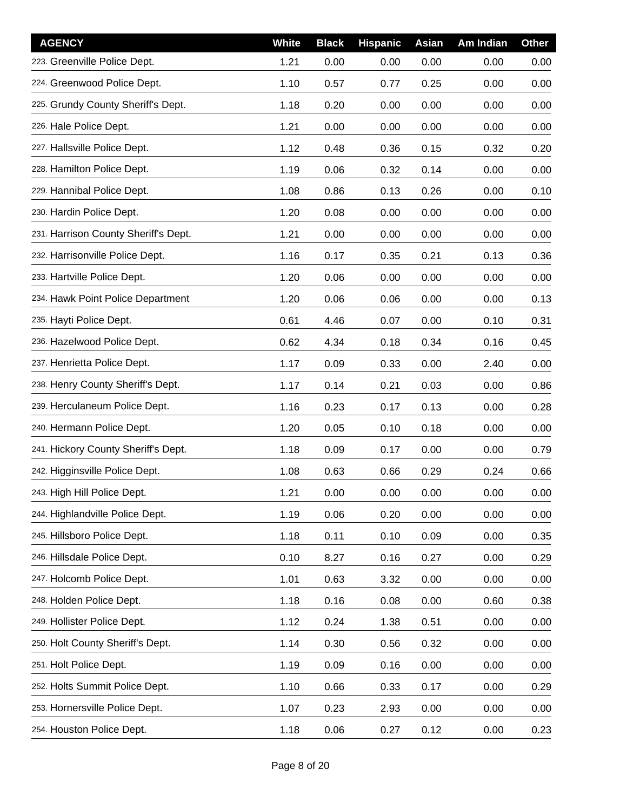| <b>AGENCY</b>                        | White | <b>Black</b> | <b>Hispanic</b> | Asian | Am Indian | <b>Other</b> |
|--------------------------------------|-------|--------------|-----------------|-------|-----------|--------------|
| 223. Greenville Police Dept.         | 1.21  | 0.00         | 0.00            | 0.00  | 0.00      | 0.00         |
| 224. Greenwood Police Dept.          | 1.10  | 0.57         | 0.77            | 0.25  | 0.00      | 0.00         |
| 225. Grundy County Sheriff's Dept.   | 1.18  | 0.20         | 0.00            | 0.00  | 0.00      | 0.00         |
| 226. Hale Police Dept.               | 1.21  | 0.00         | 0.00            | 0.00  | 0.00      | 0.00         |
| 227. Hallsville Police Dept.         | 1.12  | 0.48         | 0.36            | 0.15  | 0.32      | 0.20         |
| 228. Hamilton Police Dept.           | 1.19  | 0.06         | 0.32            | 0.14  | 0.00      | 0.00         |
| 229. Hannibal Police Dept.           | 1.08  | 0.86         | 0.13            | 0.26  | 0.00      | 0.10         |
| 230. Hardin Police Dept.             | 1.20  | 0.08         | 0.00            | 0.00  | 0.00      | 0.00         |
| 231. Harrison County Sheriff's Dept. | 1.21  | 0.00         | 0.00            | 0.00  | 0.00      | 0.00         |
| 232. Harrisonville Police Dept.      | 1.16  | 0.17         | 0.35            | 0.21  | 0.13      | 0.36         |
| 233. Hartville Police Dept.          | 1.20  | 0.06         | 0.00            | 0.00  | 0.00      | 0.00         |
| 234. Hawk Point Police Department    | 1.20  | 0.06         | 0.06            | 0.00  | 0.00      | 0.13         |
| 235. Hayti Police Dept.              | 0.61  | 4.46         | 0.07            | 0.00  | 0.10      | 0.31         |
| 236. Hazelwood Police Dept.          | 0.62  | 4.34         | 0.18            | 0.34  | 0.16      | 0.45         |
| 237. Henrietta Police Dept.          | 1.17  | 0.09         | 0.33            | 0.00  | 2.40      | 0.00         |
| 238. Henry County Sheriff's Dept.    | 1.17  | 0.14         | 0.21            | 0.03  | 0.00      | 0.86         |
| 239. Herculaneum Police Dept.        | 1.16  | 0.23         | 0.17            | 0.13  | 0.00      | 0.28         |
| 240. Hermann Police Dept.            | 1.20  | 0.05         | 0.10            | 0.18  | 0.00      | 0.00         |
| 241. Hickory County Sheriff's Dept.  | 1.18  | 0.09         | 0.17            | 0.00  | 0.00      | 0.79         |
| 242. Higginsville Police Dept.       | 1.08  | 0.63         | 0.66            | 0.29  | 0.24      | 0.66         |
| 243. High Hill Police Dept.          | 1.21  | 0.00         | 0.00            | 0.00  | 0.00      | 0.00         |
| 244. Highlandville Police Dept.      | 1.19  | 0.06         | 0.20            | 0.00  | 0.00      | 0.00         |
| 245. Hillsboro Police Dept.          | 1.18  | 0.11         | 0.10            | 0.09  | 0.00      | 0.35         |
| 246. Hillsdale Police Dept.          | 0.10  | 8.27         | 0.16            | 0.27  | 0.00      | 0.29         |
| 247. Holcomb Police Dept.            | 1.01  | 0.63         | 3.32            | 0.00  | 0.00      | 0.00         |
| 248. Holden Police Dept.             | 1.18  | 0.16         | 0.08            | 0.00  | 0.60      | 0.38         |
| 249. Hollister Police Dept.          | 1.12  | 0.24         | 1.38            | 0.51  | 0.00      | 0.00         |
| 250. Holt County Sheriff's Dept.     | 1.14  | 0.30         | 0.56            | 0.32  | 0.00      | 0.00         |
| 251. Holt Police Dept.               | 1.19  | 0.09         | 0.16            | 0.00  | 0.00      | 0.00         |
| 252. Holts Summit Police Dept.       | 1.10  | 0.66         | 0.33            | 0.17  | 0.00      | 0.29         |
| 253. Hornersville Police Dept.       | 1.07  | 0.23         | 2.93            | 0.00  | 0.00      | 0.00         |
| 254. Houston Police Dept.            | 1.18  | 0.06         | 0.27            | 0.12  | 0.00      | 0.23         |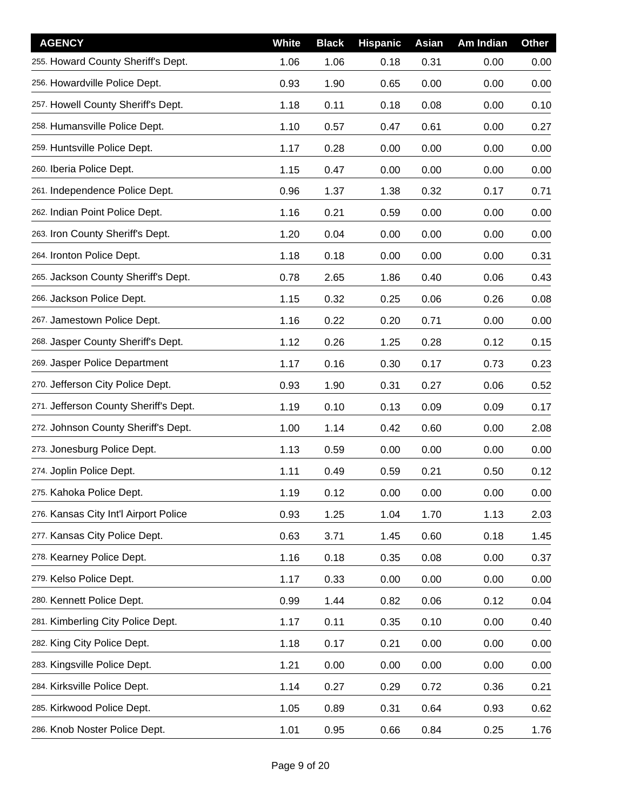| <b>AGENCY</b>                         | White | <b>Black</b> | <b>Hispanic</b> | Asian | Am Indian | <b>Other</b> |
|---------------------------------------|-------|--------------|-----------------|-------|-----------|--------------|
| 255. Howard County Sheriff's Dept.    | 1.06  | 1.06         | 0.18            | 0.31  | 0.00      | 0.00         |
| 256. Howardville Police Dept.         | 0.93  | 1.90         | 0.65            | 0.00  | 0.00      | 0.00         |
| 257. Howell County Sheriff's Dept.    | 1.18  | 0.11         | 0.18            | 0.08  | 0.00      | 0.10         |
| 258. Humansville Police Dept.         | 1.10  | 0.57         | 0.47            | 0.61  | 0.00      | 0.27         |
| 259. Huntsville Police Dept.          | 1.17  | 0.28         | 0.00            | 0.00  | 0.00      | 0.00         |
| 260. Iberia Police Dept.              | 1.15  | 0.47         | 0.00            | 0.00  | 0.00      | 0.00         |
| 261. Independence Police Dept.        | 0.96  | 1.37         | 1.38            | 0.32  | 0.17      | 0.71         |
| 262. Indian Point Police Dept.        | 1.16  | 0.21         | 0.59            | 0.00  | 0.00      | 0.00         |
| 263. Iron County Sheriff's Dept.      | 1.20  | 0.04         | 0.00            | 0.00  | 0.00      | 0.00         |
| 264. Ironton Police Dept.             | 1.18  | 0.18         | 0.00            | 0.00  | 0.00      | 0.31         |
| 265. Jackson County Sheriff's Dept.   | 0.78  | 2.65         | 1.86            | 0.40  | 0.06      | 0.43         |
| 266. Jackson Police Dept.             | 1.15  | 0.32         | 0.25            | 0.06  | 0.26      | 0.08         |
| 267. Jamestown Police Dept.           | 1.16  | 0.22         | 0.20            | 0.71  | 0.00      | 0.00         |
| 268. Jasper County Sheriff's Dept.    | 1.12  | 0.26         | 1.25            | 0.28  | 0.12      | 0.15         |
| 269. Jasper Police Department         | 1.17  | 0.16         | 0.30            | 0.17  | 0.73      | 0.23         |
| 270. Jefferson City Police Dept.      | 0.93  | 1.90         | 0.31            | 0.27  | 0.06      | 0.52         |
| 271. Jefferson County Sheriff's Dept. | 1.19  | 0.10         | 0.13            | 0.09  | 0.09      | 0.17         |
| 272. Johnson County Sheriff's Dept.   | 1.00  | 1.14         | 0.42            | 0.60  | 0.00      | 2.08         |
| 273. Jonesburg Police Dept.           | 1.13  | 0.59         | 0.00            | 0.00  | 0.00      | 0.00         |
| 274. Joplin Police Dept.              | 1.11  | 0.49         | 0.59            | 0.21  | 0.50      | 0.12         |
| 275. Kahoka Police Dept.              | 1.19  | 0.12         | 0.00            | 0.00  | 0.00      | 0.00         |
| 276. Kansas City Int'l Airport Police | 0.93  | 1.25         | 1.04            | 1.70  | 1.13      | 2.03         |
| 277. Kansas City Police Dept.         | 0.63  | 3.71         | 1.45            | 0.60  | 0.18      | 1.45         |
| 278. Kearney Police Dept.             | 1.16  | 0.18         | 0.35            | 0.08  | 0.00      | 0.37         |
| 279. Kelso Police Dept.               | 1.17  | 0.33         | 0.00            | 0.00  | 0.00      | 0.00         |
| 280. Kennett Police Dept.             | 0.99  | 1.44         | 0.82            | 0.06  | 0.12      | 0.04         |
| 281. Kimberling City Police Dept.     | 1.17  | 0.11         | 0.35            | 0.10  | 0.00      | 0.40         |
| 282. King City Police Dept.           | 1.18  | 0.17         | 0.21            | 0.00  | 0.00      | 0.00         |
| 283. Kingsville Police Dept.          | 1.21  | 0.00         | 0.00            | 0.00  | 0.00      | 0.00         |
| 284. Kirksville Police Dept.          | 1.14  | 0.27         | 0.29            | 0.72  | 0.36      | 0.21         |
| 285. Kirkwood Police Dept.            | 1.05  | 0.89         | 0.31            | 0.64  | 0.93      | 0.62         |
| 286. Knob Noster Police Dept.         | 1.01  | 0.95         | 0.66            | 0.84  | 0.25      | 1.76         |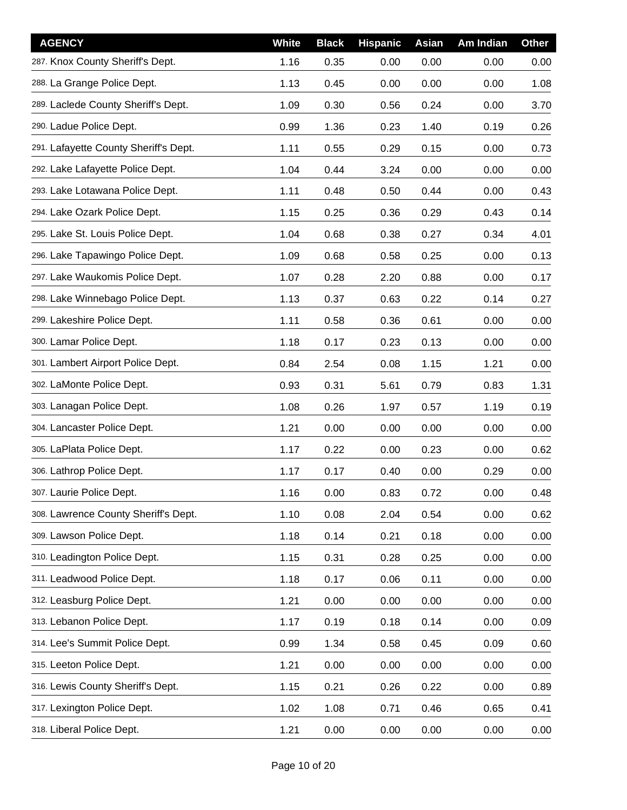| <b>AGENCY</b>                         | White | <b>Black</b> | <b>Hispanic</b> | Asian | Am Indian | <b>Other</b> |
|---------------------------------------|-------|--------------|-----------------|-------|-----------|--------------|
| 287. Knox County Sheriff's Dept.      | 1.16  | 0.35         | 0.00            | 0.00  | 0.00      | 0.00         |
| 288. La Grange Police Dept.           | 1.13  | 0.45         | 0.00            | 0.00  | 0.00      | 1.08         |
| 289. Laclede County Sheriff's Dept.   | 1.09  | 0.30         | 0.56            | 0.24  | 0.00      | 3.70         |
| 290. Ladue Police Dept.               | 0.99  | 1.36         | 0.23            | 1.40  | 0.19      | 0.26         |
| 291. Lafayette County Sheriff's Dept. | 1.11  | 0.55         | 0.29            | 0.15  | 0.00      | 0.73         |
| 292. Lake Lafayette Police Dept.      | 1.04  | 0.44         | 3.24            | 0.00  | 0.00      | 0.00         |
| 293. Lake Lotawana Police Dept.       | 1.11  | 0.48         | 0.50            | 0.44  | 0.00      | 0.43         |
| 294. Lake Ozark Police Dept.          | 1.15  | 0.25         | 0.36            | 0.29  | 0.43      | 0.14         |
| 295. Lake St. Louis Police Dept.      | 1.04  | 0.68         | 0.38            | 0.27  | 0.34      | 4.01         |
| 296. Lake Tapawingo Police Dept.      | 1.09  | 0.68         | 0.58            | 0.25  | 0.00      | 0.13         |
| 297. Lake Waukomis Police Dept.       | 1.07  | 0.28         | 2.20            | 0.88  | 0.00      | 0.17         |
| 298. Lake Winnebago Police Dept.      | 1.13  | 0.37         | 0.63            | 0.22  | 0.14      | 0.27         |
| 299. Lakeshire Police Dept.           | 1.11  | 0.58         | 0.36            | 0.61  | 0.00      | 0.00         |
| 300. Lamar Police Dept.               | 1.18  | 0.17         | 0.23            | 0.13  | 0.00      | 0.00         |
| 301. Lambert Airport Police Dept.     | 0.84  | 2.54         | 0.08            | 1.15  | 1.21      | 0.00         |
| 302. LaMonte Police Dept.             | 0.93  | 0.31         | 5.61            | 0.79  | 0.83      | 1.31         |
| 303. Lanagan Police Dept.             | 1.08  | 0.26         | 1.97            | 0.57  | 1.19      | 0.19         |
| 304. Lancaster Police Dept.           | 1.21  | 0.00         | 0.00            | 0.00  | 0.00      | 0.00         |
| 305. LaPlata Police Dept.             | 1.17  | 0.22         | 0.00            | 0.23  | 0.00      | 0.62         |
| 306. Lathrop Police Dept.             | 1.17  | 0.17         | 0.40            | 0.00  | 0.29      | 0.00         |
| 307. Laurie Police Dept.              | 1.16  | 0.00         | 0.83            | 0.72  | 0.00      | 0.48         |
| 308. Lawrence County Sheriff's Dept.  | 1.10  | 0.08         | 2.04            | 0.54  | 0.00      | 0.62         |
| 309. Lawson Police Dept.              | 1.18  | 0.14         | 0.21            | 0.18  | 0.00      | 0.00         |
| 310. Leadington Police Dept.          | 1.15  | 0.31         | 0.28            | 0.25  | 0.00      | 0.00         |
| 311. Leadwood Police Dept.            | 1.18  | 0.17         | 0.06            | 0.11  | 0.00      | 0.00         |
| 312. Leasburg Police Dept.            | 1.21  | 0.00         | 0.00            | 0.00  | 0.00      | 0.00         |
| 313. Lebanon Police Dept.             | 1.17  | 0.19         | 0.18            | 0.14  | 0.00      | 0.09         |
| 314. Lee's Summit Police Dept.        | 0.99  | 1.34         | 0.58            | 0.45  | 0.09      | 0.60         |
| 315. Leeton Police Dept.              | 1.21  | 0.00         | 0.00            | 0.00  | 0.00      | 0.00         |
| 316. Lewis County Sheriff's Dept.     | 1.15  | 0.21         | 0.26            | 0.22  | 0.00      | 0.89         |
| 317. Lexington Police Dept.           | 1.02  | 1.08         | 0.71            | 0.46  | 0.65      | 0.41         |
| 318. Liberal Police Dept.             | 1.21  | 0.00         | 0.00            | 0.00  | 0.00      | 0.00         |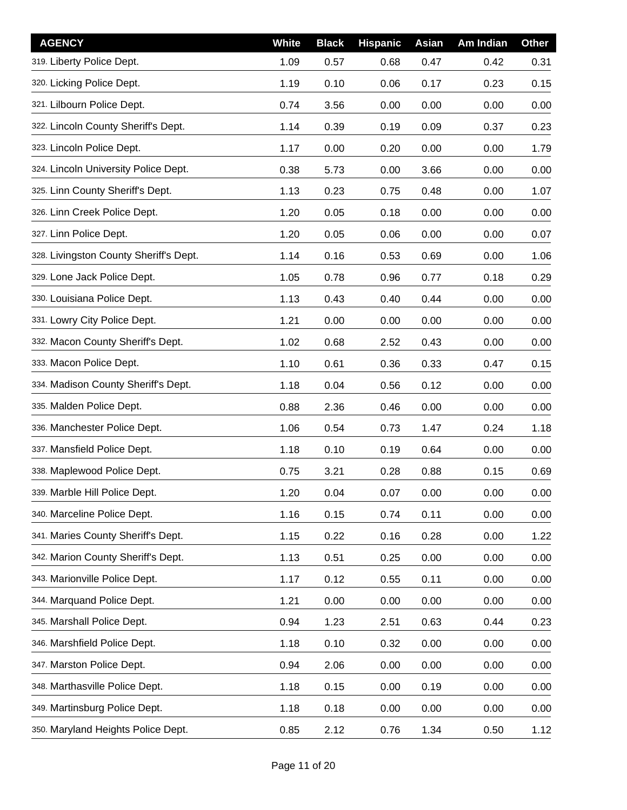| <b>AGENCY</b>                          | White | <b>Black</b> | <b>Hispanic</b> | Asian | Am Indian | <b>Other</b> |
|----------------------------------------|-------|--------------|-----------------|-------|-----------|--------------|
| 319. Liberty Police Dept.              | 1.09  | 0.57         | 0.68            | 0.47  | 0.42      | 0.31         |
| 320. Licking Police Dept.              | 1.19  | 0.10         | 0.06            | 0.17  | 0.23      | 0.15         |
| 321. Lilbourn Police Dept.             | 0.74  | 3.56         | 0.00            | 0.00  | 0.00      | 0.00         |
| 322. Lincoln County Sheriff's Dept.    | 1.14  | 0.39         | 0.19            | 0.09  | 0.37      | 0.23         |
| 323. Lincoln Police Dept.              | 1.17  | 0.00         | 0.20            | 0.00  | 0.00      | 1.79         |
| 324. Lincoln University Police Dept.   | 0.38  | 5.73         | 0.00            | 3.66  | 0.00      | 0.00         |
| 325. Linn County Sheriff's Dept.       | 1.13  | 0.23         | 0.75            | 0.48  | 0.00      | 1.07         |
| 326. Linn Creek Police Dept.           | 1.20  | 0.05         | 0.18            | 0.00  | 0.00      | 0.00         |
| 327. Linn Police Dept.                 | 1.20  | 0.05         | 0.06            | 0.00  | 0.00      | 0.07         |
| 328. Livingston County Sheriff's Dept. | 1.14  | 0.16         | 0.53            | 0.69  | 0.00      | 1.06         |
| 329. Lone Jack Police Dept.            | 1.05  | 0.78         | 0.96            | 0.77  | 0.18      | 0.29         |
| 330. Louisiana Police Dept.            | 1.13  | 0.43         | 0.40            | 0.44  | 0.00      | 0.00         |
| 331. Lowry City Police Dept.           | 1.21  | 0.00         | 0.00            | 0.00  | 0.00      | 0.00         |
| 332. Macon County Sheriff's Dept.      | 1.02  | 0.68         | 2.52            | 0.43  | 0.00      | 0.00         |
| 333. Macon Police Dept.                | 1.10  | 0.61         | 0.36            | 0.33  | 0.47      | 0.15         |
| 334. Madison County Sheriff's Dept.    | 1.18  | 0.04         | 0.56            | 0.12  | 0.00      | 0.00         |
| 335. Malden Police Dept.               | 0.88  | 2.36         | 0.46            | 0.00  | 0.00      | 0.00         |
| 336. Manchester Police Dept.           | 1.06  | 0.54         | 0.73            | 1.47  | 0.24      | 1.18         |
| 337. Mansfield Police Dept.            | 1.18  | 0.10         | 0.19            | 0.64  | 0.00      | 0.00         |
| 338. Maplewood Police Dept.            | 0.75  | 3.21         | 0.28            | 0.88  | 0.15      | 0.69         |
| 339. Marble Hill Police Dept.          | 1.20  | 0.04         | 0.07            | 0.00  | 0.00      | 0.00         |
| 340. Marceline Police Dept.            | 1.16  | 0.15         | 0.74            | 0.11  | 0.00      | 0.00         |
| 341. Maries County Sheriff's Dept.     | 1.15  | 0.22         | 0.16            | 0.28  | 0.00      | 1.22         |
| 342. Marion County Sheriff's Dept.     | 1.13  | 0.51         | 0.25            | 0.00  | 0.00      | 0.00         |
| 343. Marionville Police Dept.          | 1.17  | 0.12         | 0.55            | 0.11  | 0.00      | 0.00         |
| 344. Marquand Police Dept.             | 1.21  | 0.00         | 0.00            | 0.00  | 0.00      | 0.00         |
| 345. Marshall Police Dept.             | 0.94  | 1.23         | 2.51            | 0.63  | 0.44      | 0.23         |
| 346. Marshfield Police Dept.           | 1.18  | 0.10         | 0.32            | 0.00  | 0.00      | 0.00         |
| 347. Marston Police Dept.              | 0.94  | 2.06         | 0.00            | 0.00  | 0.00      | 0.00         |
| 348. Marthasville Police Dept.         | 1.18  | 0.15         | 0.00            | 0.19  | 0.00      | 0.00         |
| 349. Martinsburg Police Dept.          | 1.18  | 0.18         | 0.00            | 0.00  | 0.00      | 0.00         |
| 350. Maryland Heights Police Dept.     | 0.85  | 2.12         | 0.76            | 1.34  | 0.50      | 1.12         |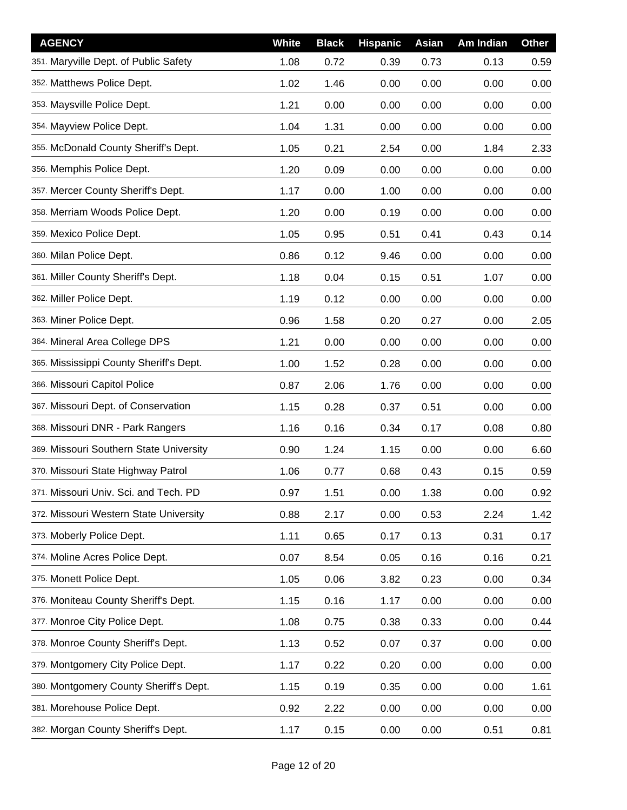| <b>AGENCY</b>                           | White | <b>Black</b> | <b>Hispanic</b> | <b>Asian</b> | Am Indian | <b>Other</b> |
|-----------------------------------------|-------|--------------|-----------------|--------------|-----------|--------------|
| 351. Maryville Dept. of Public Safety   | 1.08  | 0.72         | 0.39            | 0.73         | 0.13      | 0.59         |
| 352. Matthews Police Dept.              | 1.02  | 1.46         | 0.00            | 0.00         | 0.00      | 0.00         |
| 353. Maysville Police Dept.             | 1.21  | 0.00         | 0.00            | 0.00         | 0.00      | 0.00         |
| 354. Mayview Police Dept.               | 1.04  | 1.31         | 0.00            | 0.00         | 0.00      | 0.00         |
| 355. McDonald County Sheriff's Dept.    | 1.05  | 0.21         | 2.54            | 0.00         | 1.84      | 2.33         |
| 356. Memphis Police Dept.               | 1.20  | 0.09         | 0.00            | 0.00         | 0.00      | 0.00         |
| 357. Mercer County Sheriff's Dept.      | 1.17  | 0.00         | 1.00            | 0.00         | 0.00      | 0.00         |
| 358. Merriam Woods Police Dept.         | 1.20  | 0.00         | 0.19            | 0.00         | 0.00      | 0.00         |
| 359. Mexico Police Dept.                | 1.05  | 0.95         | 0.51            | 0.41         | 0.43      | 0.14         |
| 360. Milan Police Dept.                 | 0.86  | 0.12         | 9.46            | 0.00         | 0.00      | 0.00         |
| 361. Miller County Sheriff's Dept.      | 1.18  | 0.04         | 0.15            | 0.51         | 1.07      | 0.00         |
| 362. Miller Police Dept.                | 1.19  | 0.12         | 0.00            | 0.00         | 0.00      | 0.00         |
| 363. Miner Police Dept.                 | 0.96  | 1.58         | 0.20            | 0.27         | 0.00      | 2.05         |
| 364. Mineral Area College DPS           | 1.21  | 0.00         | 0.00            | 0.00         | 0.00      | 0.00         |
| 365. Mississippi County Sheriff's Dept. | 1.00  | 1.52         | 0.28            | 0.00         | 0.00      | 0.00         |
| 366. Missouri Capitol Police            | 0.87  | 2.06         | 1.76            | 0.00         | 0.00      | 0.00         |
| 367. Missouri Dept. of Conservation     | 1.15  | 0.28         | 0.37            | 0.51         | 0.00      | 0.00         |
| 368. Missouri DNR - Park Rangers        | 1.16  | 0.16         | 0.34            | 0.17         | 0.08      | 0.80         |
| 369. Missouri Southern State University | 0.90  | 1.24         | 1.15            | 0.00         | 0.00      | 6.60         |
| 370. Missouri State Highway Patrol      | 1.06  | 0.77         | 0.68            | 0.43         | 0.15      | 0.59         |
| 371. Missouri Univ. Sci. and Tech. PD   | 0.97  | 1.51         | 0.00            | 1.38         | 0.00      | 0.92         |
| 372. Missouri Western State University  | 0.88  | 2.17         | 0.00            | 0.53         | 2.24      | 1.42         |
| 373. Moberly Police Dept.               | 1.11  | 0.65         | 0.17            | 0.13         | 0.31      | 0.17         |
| 374. Moline Acres Police Dept.          | 0.07  | 8.54         | 0.05            | 0.16         | 0.16      | 0.21         |
| 375. Monett Police Dept.                | 1.05  | 0.06         | 3.82            | 0.23         | 0.00      | 0.34         |
| 376. Moniteau County Sheriff's Dept.    | 1.15  | 0.16         | 1.17            | 0.00         | 0.00      | 0.00         |
| 377. Monroe City Police Dept.           | 1.08  | 0.75         | 0.38            | 0.33         | 0.00      | 0.44         |
| 378. Monroe County Sheriff's Dept.      | 1.13  | 0.52         | 0.07            | 0.37         | 0.00      | 0.00         |
| 379. Montgomery City Police Dept.       | 1.17  | 0.22         | 0.20            | 0.00         | 0.00      | 0.00         |
| 380. Montgomery County Sheriff's Dept.  | 1.15  | 0.19         | 0.35            | 0.00         | 0.00      | 1.61         |
| 381. Morehouse Police Dept.             | 0.92  | 2.22         | 0.00            | 0.00         | 0.00      | 0.00         |
| 382. Morgan County Sheriff's Dept.      | 1.17  | 0.15         | 0.00            | 0.00         | 0.51      | 0.81         |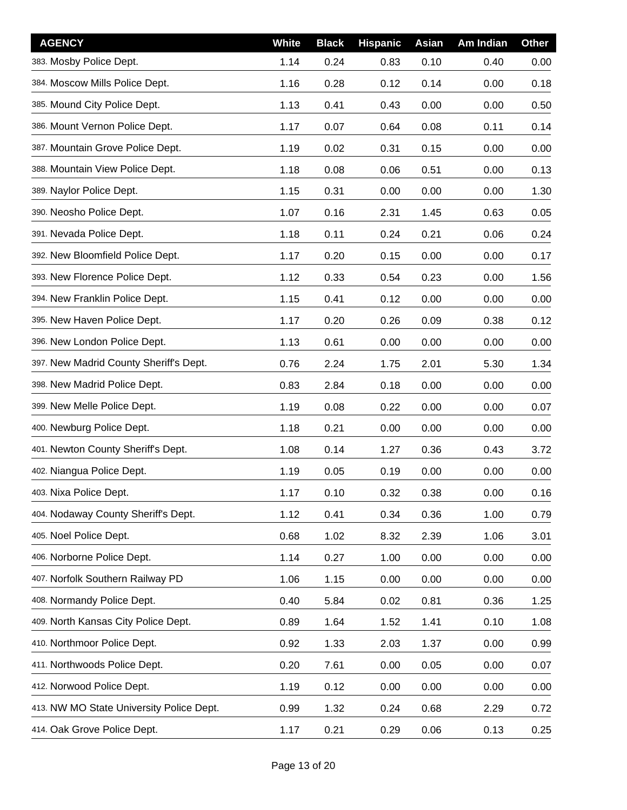| <b>AGENCY</b>                            | <b>White</b> | <b>Black</b> | <b>Hispanic</b> | Asian | Am Indian | <b>Other</b> |
|------------------------------------------|--------------|--------------|-----------------|-------|-----------|--------------|
| 383. Mosby Police Dept.                  | 1.14         | 0.24         | 0.83            | 0.10  | 0.40      | 0.00         |
| 384. Moscow Mills Police Dept.           | 1.16         | 0.28         | 0.12            | 0.14  | 0.00      | 0.18         |
| 385. Mound City Police Dept.             | 1.13         | 0.41         | 0.43            | 0.00  | 0.00      | 0.50         |
| 386. Mount Vernon Police Dept.           | 1.17         | 0.07         | 0.64            | 0.08  | 0.11      | 0.14         |
| 387. Mountain Grove Police Dept.         | 1.19         | 0.02         | 0.31            | 0.15  | 0.00      | 0.00         |
| 388. Mountain View Police Dept.          | 1.18         | 0.08         | 0.06            | 0.51  | 0.00      | 0.13         |
| 389. Naylor Police Dept.                 | 1.15         | 0.31         | 0.00            | 0.00  | 0.00      | 1.30         |
| 390. Neosho Police Dept.                 | 1.07         | 0.16         | 2.31            | 1.45  | 0.63      | 0.05         |
| 391. Nevada Police Dept.                 | 1.18         | 0.11         | 0.24            | 0.21  | 0.06      | 0.24         |
| 392. New Bloomfield Police Dept.         | 1.17         | 0.20         | 0.15            | 0.00  | 0.00      | 0.17         |
| 393. New Florence Police Dept.           | 1.12         | 0.33         | 0.54            | 0.23  | 0.00      | 1.56         |
| 394. New Franklin Police Dept.           | 1.15         | 0.41         | 0.12            | 0.00  | 0.00      | 0.00         |
| 395. New Haven Police Dept.              | 1.17         | 0.20         | 0.26            | 0.09  | 0.38      | 0.12         |
| 396. New London Police Dept.             | 1.13         | 0.61         | 0.00            | 0.00  | 0.00      | 0.00         |
| 397. New Madrid County Sheriff's Dept.   | 0.76         | 2.24         | 1.75            | 2.01  | 5.30      | 1.34         |
| 398. New Madrid Police Dept.             | 0.83         | 2.84         | 0.18            | 0.00  | 0.00      | 0.00         |
| 399. New Melle Police Dept.              | 1.19         | 0.08         | 0.22            | 0.00  | 0.00      | 0.07         |
| 400. Newburg Police Dept.                | 1.18         | 0.21         | 0.00            | 0.00  | 0.00      | 0.00         |
| 401. Newton County Sheriff's Dept.       | 1.08         | 0.14         | 1.27            | 0.36  | 0.43      | 3.72         |
| 402. Niangua Police Dept.                | 1.19         | 0.05         | 0.19            | 0.00  | 0.00      | 0.00         |
| 403. Nixa Police Dept.                   | 1.17         | 0.10         | 0.32            | 0.38  | 0.00      | 0.16         |
| 404. Nodaway County Sheriff's Dept.      | 1.12         | 0.41         | 0.34            | 0.36  | 1.00      | 0.79         |
| 405. Noel Police Dept.                   | 0.68         | 1.02         | 8.32            | 2.39  | 1.06      | 3.01         |
| 406. Norborne Police Dept.               | 1.14         | 0.27         | 1.00            | 0.00  | 0.00      | 0.00         |
| 407. Norfolk Southern Railway PD         | 1.06         | 1.15         | 0.00            | 0.00  | 0.00      | 0.00         |
| 408. Normandy Police Dept.               | 0.40         | 5.84         | 0.02            | 0.81  | 0.36      | 1.25         |
| 409. North Kansas City Police Dept.      | 0.89         | 1.64         | 1.52            | 1.41  | 0.10      | 1.08         |
| 410. Northmoor Police Dept.              | 0.92         | 1.33         | 2.03            | 1.37  | 0.00      | 0.99         |
| 411. Northwoods Police Dept.             | 0.20         | 7.61         | 0.00            | 0.05  | 0.00      | 0.07         |
| 412. Norwood Police Dept.                | 1.19         | 0.12         | 0.00            | 0.00  | 0.00      | 0.00         |
| 413. NW MO State University Police Dept. | 0.99         | 1.32         | 0.24            | 0.68  | 2.29      | 0.72         |
| 414. Oak Grove Police Dept.              | 1.17         | 0.21         | 0.29            | 0.06  | 0.13      | 0.25         |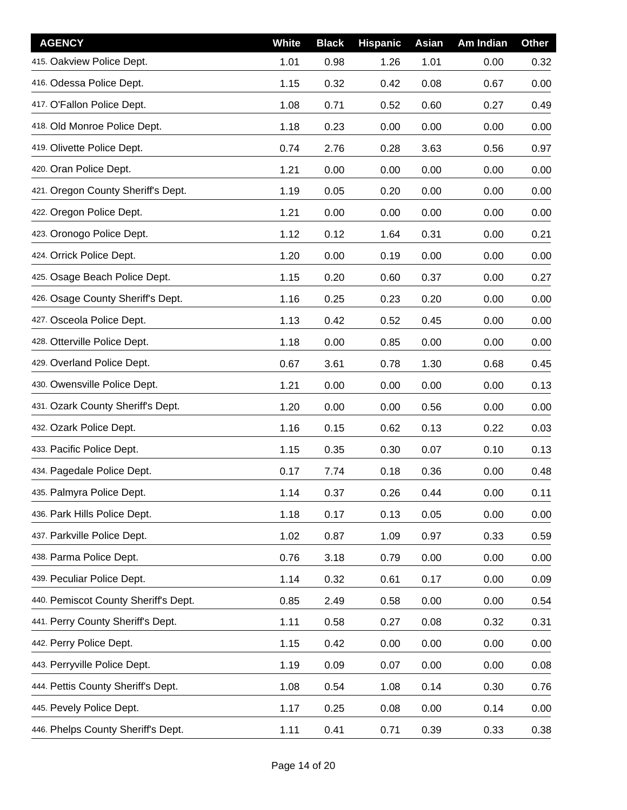| <b>AGENCY</b>                        | White | <b>Black</b> | <b>Hispanic</b> | <b>Asian</b> | Am Indian | <b>Other</b> |
|--------------------------------------|-------|--------------|-----------------|--------------|-----------|--------------|
| 415. Oakview Police Dept.            | 1.01  | 0.98         | 1.26            | 1.01         | 0.00      | 0.32         |
| 416. Odessa Police Dept.             | 1.15  | 0.32         | 0.42            | 0.08         | 0.67      | 0.00         |
| 417. O'Fallon Police Dept.           | 1.08  | 0.71         | 0.52            | 0.60         | 0.27      | 0.49         |
| 418. Old Monroe Police Dept.         | 1.18  | 0.23         | 0.00            | 0.00         | 0.00      | 0.00         |
| 419. Olivette Police Dept.           | 0.74  | 2.76         | 0.28            | 3.63         | 0.56      | 0.97         |
| 420. Oran Police Dept.               | 1.21  | 0.00         | 0.00            | 0.00         | 0.00      | 0.00         |
| 421. Oregon County Sheriff's Dept.   | 1.19  | 0.05         | 0.20            | 0.00         | 0.00      | 0.00         |
| 422. Oregon Police Dept.             | 1.21  | 0.00         | 0.00            | 0.00         | 0.00      | 0.00         |
| 423. Oronogo Police Dept.            | 1.12  | 0.12         | 1.64            | 0.31         | 0.00      | 0.21         |
| 424. Orrick Police Dept.             | 1.20  | 0.00         | 0.19            | 0.00         | 0.00      | 0.00         |
| 425. Osage Beach Police Dept.        | 1.15  | 0.20         | 0.60            | 0.37         | 0.00      | 0.27         |
| 426. Osage County Sheriff's Dept.    | 1.16  | 0.25         | 0.23            | 0.20         | 0.00      | 0.00         |
| 427. Osceola Police Dept.            | 1.13  | 0.42         | 0.52            | 0.45         | 0.00      | 0.00         |
| 428. Otterville Police Dept.         | 1.18  | 0.00         | 0.85            | 0.00         | 0.00      | 0.00         |
| 429. Overland Police Dept.           | 0.67  | 3.61         | 0.78            | 1.30         | 0.68      | 0.45         |
| 430. Owensville Police Dept.         | 1.21  | 0.00         | 0.00            | 0.00         | 0.00      | 0.13         |
| 431. Ozark County Sheriff's Dept.    | 1.20  | 0.00         | 0.00            | 0.56         | 0.00      | 0.00         |
| 432. Ozark Police Dept.              | 1.16  | 0.15         | 0.62            | 0.13         | 0.22      | 0.03         |
| 433. Pacific Police Dept.            | 1.15  | 0.35         | 0.30            | 0.07         | 0.10      | 0.13         |
| 434. Pagedale Police Dept.           | 0.17  | 7.74         | 0.18            | 0.36         | 0.00      | 0.48         |
| 435. Palmyra Police Dept.            | 1.14  | 0.37         | 0.26            | 0.44         | 0.00      | 0.11         |
| 436. Park Hills Police Dept.         | 1.18  | 0.17         | 0.13            | 0.05         | 0.00      | 0.00         |
| 437. Parkville Police Dept.          | 1.02  | 0.87         | 1.09            | 0.97         | 0.33      | 0.59         |
| 438. Parma Police Dept.              | 0.76  | 3.18         | 0.79            | 0.00         | 0.00      | 0.00         |
| 439. Peculiar Police Dept.           | 1.14  | 0.32         | 0.61            | 0.17         | 0.00      | 0.09         |
| 440. Pemiscot County Sheriff's Dept. | 0.85  | 2.49         | 0.58            | 0.00         | 0.00      | 0.54         |
| 441. Perry County Sheriff's Dept.    | 1.11  | 0.58         | 0.27            | 0.08         | 0.32      | 0.31         |
| 442. Perry Police Dept.              | 1.15  | 0.42         | 0.00            | 0.00         | 0.00      | 0.00         |
| 443. Perryville Police Dept.         | 1.19  | 0.09         | 0.07            | 0.00         | 0.00      | 0.08         |
| 444. Pettis County Sheriff's Dept.   | 1.08  | 0.54         | 1.08            | 0.14         | 0.30      | 0.76         |
| 445. Pevely Police Dept.             | 1.17  | 0.25         | 0.08            | 0.00         | 0.14      | 0.00         |
| 446. Phelps County Sheriff's Dept.   | 1.11  | 0.41         | 0.71            | 0.39         | 0.33      | 0.38         |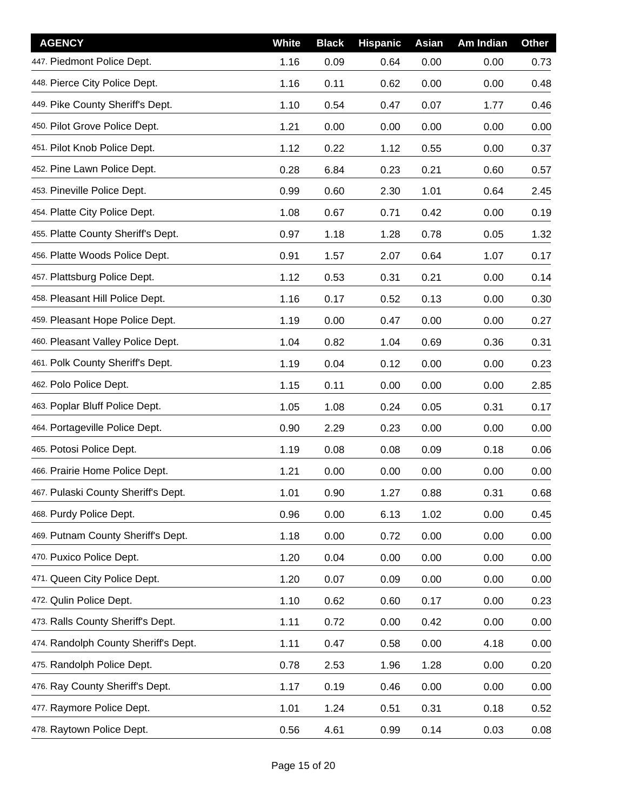| <b>AGENCY</b>                        | White | <b>Black</b> | <b>Hispanic</b> | Asian | Am Indian | Other |
|--------------------------------------|-------|--------------|-----------------|-------|-----------|-------|
| 447. Piedmont Police Dept.           | 1.16  | 0.09         | 0.64            | 0.00  | 0.00      | 0.73  |
| 448. Pierce City Police Dept.        | 1.16  | 0.11         | 0.62            | 0.00  | 0.00      | 0.48  |
| 449. Pike County Sheriff's Dept.     | 1.10  | 0.54         | 0.47            | 0.07  | 1.77      | 0.46  |
| 450. Pilot Grove Police Dept.        | 1.21  | 0.00         | 0.00            | 0.00  | 0.00      | 0.00  |
| 451. Pilot Knob Police Dept.         | 1.12  | 0.22         | 1.12            | 0.55  | 0.00      | 0.37  |
| 452. Pine Lawn Police Dept.          | 0.28  | 6.84         | 0.23            | 0.21  | 0.60      | 0.57  |
| 453. Pineville Police Dept.          | 0.99  | 0.60         | 2.30            | 1.01  | 0.64      | 2.45  |
| 454. Platte City Police Dept.        | 1.08  | 0.67         | 0.71            | 0.42  | 0.00      | 0.19  |
| 455. Platte County Sheriff's Dept.   | 0.97  | 1.18         | 1.28            | 0.78  | 0.05      | 1.32  |
| 456. Platte Woods Police Dept.       | 0.91  | 1.57         | 2.07            | 0.64  | 1.07      | 0.17  |
| 457. Plattsburg Police Dept.         | 1.12  | 0.53         | 0.31            | 0.21  | 0.00      | 0.14  |
| 458. Pleasant Hill Police Dept.      | 1.16  | 0.17         | 0.52            | 0.13  | 0.00      | 0.30  |
| 459. Pleasant Hope Police Dept.      | 1.19  | 0.00         | 0.47            | 0.00  | 0.00      | 0.27  |
| 460. Pleasant Valley Police Dept.    | 1.04  | 0.82         | 1.04            | 0.69  | 0.36      | 0.31  |
| 461. Polk County Sheriff's Dept.     | 1.19  | 0.04         | 0.12            | 0.00  | 0.00      | 0.23  |
| 462. Polo Police Dept.               | 1.15  | 0.11         | 0.00            | 0.00  | 0.00      | 2.85  |
| 463. Poplar Bluff Police Dept.       | 1.05  | 1.08         | 0.24            | 0.05  | 0.31      | 0.17  |
| 464. Portageville Police Dept.       | 0.90  | 2.29         | 0.23            | 0.00  | 0.00      | 0.00  |
| 465. Potosi Police Dept.             | 1.19  | 0.08         | 0.08            | 0.09  | 0.18      | 0.06  |
| 466. Prairie Home Police Dept.       | 1.21  | 0.00         | 0.00            | 0.00  | 0.00      | 0.00  |
| 467. Pulaski County Sheriff's Dept.  | 1.01  | 0.90         | 1.27            | 0.88  | 0.31      | 0.68  |
| 468. Purdy Police Dept.              | 0.96  | 0.00         | 6.13            | 1.02  | 0.00      | 0.45  |
| 469. Putnam County Sheriff's Dept.   | 1.18  | 0.00         | 0.72            | 0.00  | 0.00      | 0.00  |
| 470. Puxico Police Dept.             | 1.20  | 0.04         | 0.00            | 0.00  | 0.00      | 0.00  |
| 471. Queen City Police Dept.         | 1.20  | 0.07         | 0.09            | 0.00  | 0.00      | 0.00  |
| 472. Qulin Police Dept.              | 1.10  | 0.62         | 0.60            | 0.17  | 0.00      | 0.23  |
| 473. Ralls County Sheriff's Dept.    | 1.11  | 0.72         | 0.00            | 0.42  | 0.00      | 0.00  |
| 474. Randolph County Sheriff's Dept. | 1.11  | 0.47         | 0.58            | 0.00  | 4.18      | 0.00  |
| 475. Randolph Police Dept.           | 0.78  | 2.53         | 1.96            | 1.28  | 0.00      | 0.20  |
| 476. Ray County Sheriff's Dept.      | 1.17  | 0.19         | 0.46            | 0.00  | 0.00      | 0.00  |
| 477. Raymore Police Dept.            | 1.01  | 1.24         | 0.51            | 0.31  | 0.18      | 0.52  |
| 478. Raytown Police Dept.            | 0.56  | 4.61         | 0.99            | 0.14  | 0.03      | 0.08  |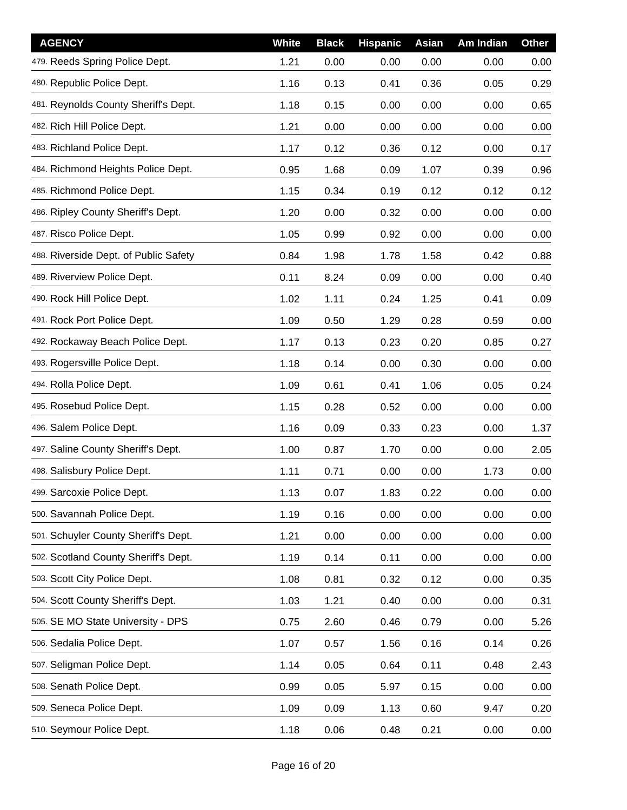| <b>AGENCY</b>                         | <b>White</b> | <b>Black</b> | <b>Hispanic</b> | Asian | Am Indian | <b>Other</b> |
|---------------------------------------|--------------|--------------|-----------------|-------|-----------|--------------|
| 479. Reeds Spring Police Dept.        | 1.21         | 0.00         | 0.00            | 0.00  | 0.00      | 0.00         |
| 480. Republic Police Dept.            | 1.16         | 0.13         | 0.41            | 0.36  | 0.05      | 0.29         |
| 481. Reynolds County Sheriff's Dept.  | 1.18         | 0.15         | 0.00            | 0.00  | 0.00      | 0.65         |
| 482. Rich Hill Police Dept.           | 1.21         | 0.00         | 0.00            | 0.00  | 0.00      | 0.00         |
| 483. Richland Police Dept.            | 1.17         | 0.12         | 0.36            | 0.12  | 0.00      | 0.17         |
| 484. Richmond Heights Police Dept.    | 0.95         | 1.68         | 0.09            | 1.07  | 0.39      | 0.96         |
| 485. Richmond Police Dept.            | 1.15         | 0.34         | 0.19            | 0.12  | 0.12      | 0.12         |
| 486. Ripley County Sheriff's Dept.    | 1.20         | 0.00         | 0.32            | 0.00  | 0.00      | 0.00         |
| 487. Risco Police Dept.               | 1.05         | 0.99         | 0.92            | 0.00  | 0.00      | 0.00         |
| 488. Riverside Dept. of Public Safety | 0.84         | 1.98         | 1.78            | 1.58  | 0.42      | 0.88         |
| 489. Riverview Police Dept.           | 0.11         | 8.24         | 0.09            | 0.00  | 0.00      | 0.40         |
| 490. Rock Hill Police Dept.           | 1.02         | 1.11         | 0.24            | 1.25  | 0.41      | 0.09         |
| 491. Rock Port Police Dept.           | 1.09         | 0.50         | 1.29            | 0.28  | 0.59      | 0.00         |
| 492. Rockaway Beach Police Dept.      | 1.17         | 0.13         | 0.23            | 0.20  | 0.85      | 0.27         |
| 493. Rogersville Police Dept.         | 1.18         | 0.14         | 0.00            | 0.30  | 0.00      | 0.00         |
| 494. Rolla Police Dept.               | 1.09         | 0.61         | 0.41            | 1.06  | 0.05      | 0.24         |
| 495. Rosebud Police Dept.             | 1.15         | 0.28         | 0.52            | 0.00  | 0.00      | 0.00         |
| 496. Salem Police Dept.               | 1.16         | 0.09         | 0.33            | 0.23  | 0.00      | 1.37         |
| 497. Saline County Sheriff's Dept.    | 1.00         | 0.87         | 1.70            | 0.00  | 0.00      | 2.05         |
| 498. Salisbury Police Dept.           | 1.11         | 0.71         | 0.00            | 0.00  | 1.73      | 0.00         |
| 499. Sarcoxie Police Dept.            | 1.13         | 0.07         | 1.83            | 0.22  | 0.00      | 0.00         |
| 500. Savannah Police Dept.            | 1.19         | 0.16         | 0.00            | 0.00  | 0.00      | 0.00         |
| 501. Schuyler County Sheriff's Dept.  | 1.21         | 0.00         | 0.00            | 0.00  | 0.00      | 0.00         |
| 502. Scotland County Sheriff's Dept.  | 1.19         | 0.14         | 0.11            | 0.00  | 0.00      | 0.00         |
| 503. Scott City Police Dept.          | 1.08         | 0.81         | 0.32            | 0.12  | 0.00      | 0.35         |
| 504. Scott County Sheriff's Dept.     | 1.03         | 1.21         | 0.40            | 0.00  | 0.00      | 0.31         |
| 505. SE MO State University - DPS     | 0.75         | 2.60         | 0.46            | 0.79  | 0.00      | 5.26         |
| 506. Sedalia Police Dept.             | 1.07         | 0.57         | 1.56            | 0.16  | 0.14      | 0.26         |
| 507. Seligman Police Dept.            | 1.14         | 0.05         | 0.64            | 0.11  | 0.48      | 2.43         |
| 508. Senath Police Dept.              | 0.99         | 0.05         | 5.97            | 0.15  | 0.00      | 0.00         |
| 509. Seneca Police Dept.              | 1.09         | 0.09         | 1.13            | 0.60  | 9.47      | 0.20         |
| 510. Seymour Police Dept.             | 1.18         | 0.06         | 0.48            | 0.21  | 0.00      | 0.00         |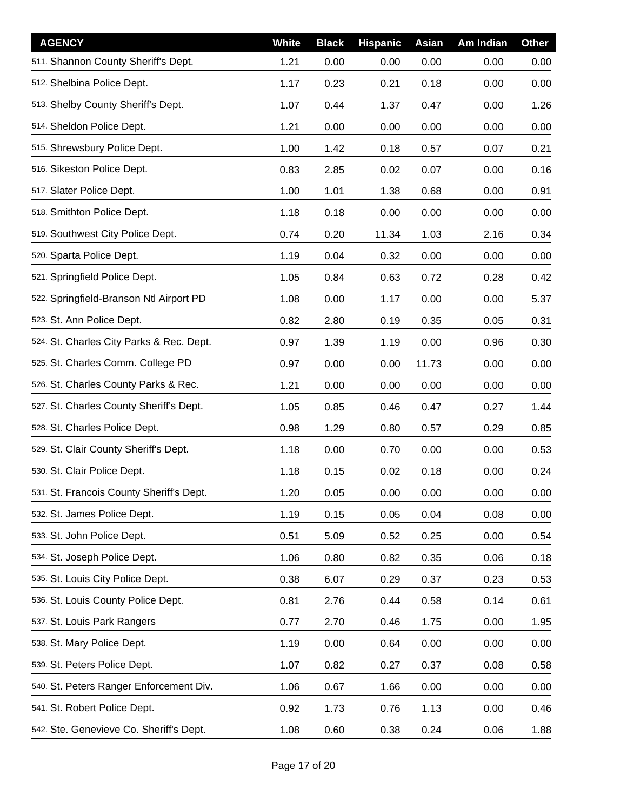| <b>AGENCY</b>                            | White | <b>Black</b> | <b>Hispanic</b> | Asian | Am Indian | <b>Other</b> |
|------------------------------------------|-------|--------------|-----------------|-------|-----------|--------------|
| 511. Shannon County Sheriff's Dept.      | 1.21  | 0.00         | 0.00            | 0.00  | 0.00      | 0.00         |
| 512. Shelbina Police Dept.               | 1.17  | 0.23         | 0.21            | 0.18  | 0.00      | 0.00         |
| 513. Shelby County Sheriff's Dept.       | 1.07  | 0.44         | 1.37            | 0.47  | 0.00      | 1.26         |
| 514. Sheldon Police Dept.                | 1.21  | 0.00         | 0.00            | 0.00  | 0.00      | 0.00         |
| 515. Shrewsbury Police Dept.             | 1.00  | 1.42         | 0.18            | 0.57  | 0.07      | 0.21         |
| 516. Sikeston Police Dept.               | 0.83  | 2.85         | 0.02            | 0.07  | 0.00      | 0.16         |
| 517. Slater Police Dept.                 | 1.00  | 1.01         | 1.38            | 0.68  | 0.00      | 0.91         |
| 518. Smithton Police Dept.               | 1.18  | 0.18         | 0.00            | 0.00  | 0.00      | 0.00         |
| 519. Southwest City Police Dept.         | 0.74  | 0.20         | 11.34           | 1.03  | 2.16      | 0.34         |
| 520. Sparta Police Dept.                 | 1.19  | 0.04         | 0.32            | 0.00  | 0.00      | 0.00         |
| 521. Springfield Police Dept.            | 1.05  | 0.84         | 0.63            | 0.72  | 0.28      | 0.42         |
| 522. Springfield-Branson Ntl Airport PD  | 1.08  | 0.00         | 1.17            | 0.00  | 0.00      | 5.37         |
| 523. St. Ann Police Dept.                | 0.82  | 2.80         | 0.19            | 0.35  | 0.05      | 0.31         |
| 524. St. Charles City Parks & Rec. Dept. | 0.97  | 1.39         | 1.19            | 0.00  | 0.96      | 0.30         |
| 525. St. Charles Comm. College PD        | 0.97  | 0.00         | 0.00            | 11.73 | 0.00      | 0.00         |
| 526. St. Charles County Parks & Rec.     | 1.21  | 0.00         | 0.00            | 0.00  | 0.00      | 0.00         |
| 527. St. Charles County Sheriff's Dept.  | 1.05  | 0.85         | 0.46            | 0.47  | 0.27      | 1.44         |
| 528. St. Charles Police Dept.            | 0.98  | 1.29         | 0.80            | 0.57  | 0.29      | 0.85         |
| 529. St. Clair County Sheriff's Dept.    | 1.18  | 0.00         | 0.70            | 0.00  | 0.00      | 0.53         |
| 530. St. Clair Police Dept.              | 1.18  | 0.15         | 0.02            | 0.18  | 0.00      | 0.24         |
| 531. St. Francois County Sheriff's Dept. | 1.20  | 0.05         | 0.00            | 0.00  | 0.00      | 0.00         |
| 532. St. James Police Dept.              | 1.19  | 0.15         | 0.05            | 0.04  | 0.08      | 0.00         |
| 533. St. John Police Dept.               | 0.51  | 5.09         | 0.52            | 0.25  | 0.00      | 0.54         |
| 534. St. Joseph Police Dept.             | 1.06  | 0.80         | 0.82            | 0.35  | 0.06      | 0.18         |
| 535. St. Louis City Police Dept.         | 0.38  | 6.07         | 0.29            | 0.37  | 0.23      | 0.53         |
| 536. St. Louis County Police Dept.       | 0.81  | 2.76         | 0.44            | 0.58  | 0.14      | 0.61         |
| 537. St. Louis Park Rangers              | 0.77  | 2.70         | 0.46            | 1.75  | 0.00      | 1.95         |
| 538. St. Mary Police Dept.               | 1.19  | 0.00         | 0.64            | 0.00  | 0.00      | 0.00         |
| 539. St. Peters Police Dept.             | 1.07  | 0.82         | 0.27            | 0.37  | 0.08      | 0.58         |
| 540. St. Peters Ranger Enforcement Div.  | 1.06  | 0.67         | 1.66            | 0.00  | 0.00      | 0.00         |
| 541. St. Robert Police Dept.             | 0.92  | 1.73         | 0.76            | 1.13  | 0.00      | 0.46         |
| 542. Ste. Genevieve Co. Sheriff's Dept.  | 1.08  | 0.60         | 0.38            | 0.24  | 0.06      | 1.88         |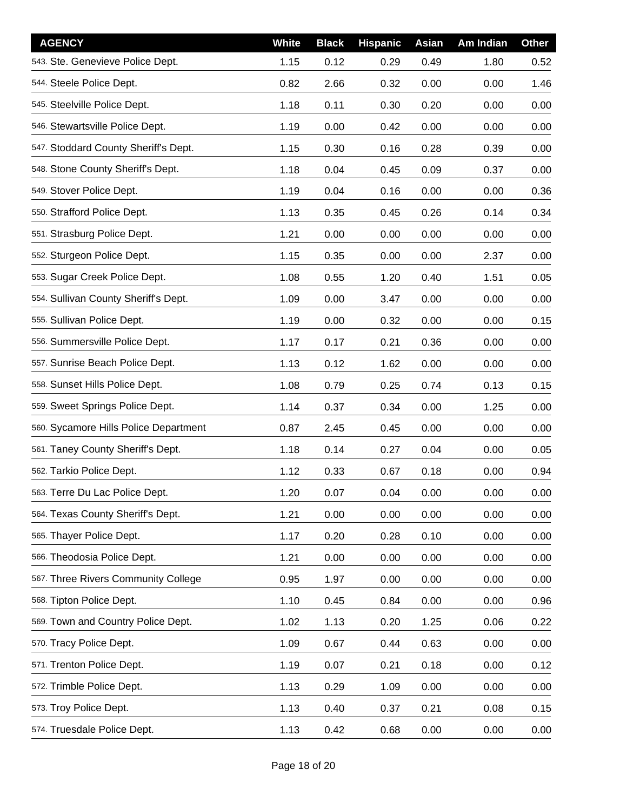| <b>AGENCY</b>                         | White | <b>Black</b> | <b>Hispanic</b> | Asian | Am Indian | Other |
|---------------------------------------|-------|--------------|-----------------|-------|-----------|-------|
| 543. Ste. Genevieve Police Dept.      | 1.15  | 0.12         | 0.29            | 0.49  | 1.80      | 0.52  |
| 544. Steele Police Dept.              | 0.82  | 2.66         | 0.32            | 0.00  | 0.00      | 1.46  |
| 545. Steelville Police Dept.          | 1.18  | 0.11         | 0.30            | 0.20  | 0.00      | 0.00  |
| 546. Stewartsville Police Dept.       | 1.19  | 0.00         | 0.42            | 0.00  | 0.00      | 0.00  |
| 547. Stoddard County Sheriff's Dept.  | 1.15  | 0.30         | 0.16            | 0.28  | 0.39      | 0.00  |
| 548. Stone County Sheriff's Dept.     | 1.18  | 0.04         | 0.45            | 0.09  | 0.37      | 0.00  |
| 549. Stover Police Dept.              | 1.19  | 0.04         | 0.16            | 0.00  | 0.00      | 0.36  |
| 550. Strafford Police Dept.           | 1.13  | 0.35         | 0.45            | 0.26  | 0.14      | 0.34  |
| 551. Strasburg Police Dept.           | 1.21  | 0.00         | 0.00            | 0.00  | 0.00      | 0.00  |
| 552. Sturgeon Police Dept.            | 1.15  | 0.35         | 0.00            | 0.00  | 2.37      | 0.00  |
| 553. Sugar Creek Police Dept.         | 1.08  | 0.55         | 1.20            | 0.40  | 1.51      | 0.05  |
| 554. Sullivan County Sheriff's Dept.  | 1.09  | 0.00         | 3.47            | 0.00  | 0.00      | 0.00  |
| 555. Sullivan Police Dept.            | 1.19  | 0.00         | 0.32            | 0.00  | 0.00      | 0.15  |
| 556. Summersville Police Dept.        | 1.17  | 0.17         | 0.21            | 0.36  | 0.00      | 0.00  |
| 557. Sunrise Beach Police Dept.       | 1.13  | 0.12         | 1.62            | 0.00  | 0.00      | 0.00  |
| 558. Sunset Hills Police Dept.        | 1.08  | 0.79         | 0.25            | 0.74  | 0.13      | 0.15  |
| 559. Sweet Springs Police Dept.       | 1.14  | 0.37         | 0.34            | 0.00  | 1.25      | 0.00  |
| 560. Sycamore Hills Police Department | 0.87  | 2.45         | 0.45            | 0.00  | 0.00      | 0.00  |
| 561. Taney County Sheriff's Dept.     | 1.18  | 0.14         | 0.27            | 0.04  | 0.00      | 0.05  |
| 562. Tarkio Police Dept.              | 1.12  | 0.33         | 0.67            | 0.18  | 0.00      | 0.94  |
| 563. Terre Du Lac Police Dept.        | 1.20  | 0.07         | 0.04            | 0.00  | 0.00      | 0.00  |
| 564. Texas County Sheriff's Dept.     | 1.21  | 0.00         | 0.00            | 0.00  | 0.00      | 0.00  |
| 565. Thayer Police Dept.              | 1.17  | 0.20         | 0.28            | 0.10  | 0.00      | 0.00  |
| 566. Theodosia Police Dept.           | 1.21  | 0.00         | 0.00            | 0.00  | 0.00      | 0.00  |
| 567. Three Rivers Community College   | 0.95  | 1.97         | 0.00            | 0.00  | 0.00      | 0.00  |
| 568. Tipton Police Dept.              | 1.10  | 0.45         | 0.84            | 0.00  | 0.00      | 0.96  |
| 569. Town and Country Police Dept.    | 1.02  | 1.13         | 0.20            | 1.25  | 0.06      | 0.22  |
| 570. Tracy Police Dept.               | 1.09  | 0.67         | 0.44            | 0.63  | 0.00      | 0.00  |
| 571. Trenton Police Dept.             | 1.19  | 0.07         | 0.21            | 0.18  | 0.00      | 0.12  |
| 572. Trimble Police Dept.             | 1.13  | 0.29         | 1.09            | 0.00  | 0.00      | 0.00  |
| 573. Troy Police Dept.                | 1.13  | 0.40         | 0.37            | 0.21  | 0.08      | 0.15  |
| 574. Truesdale Police Dept.           | 1.13  | 0.42         | 0.68            | 0.00  | 0.00      | 0.00  |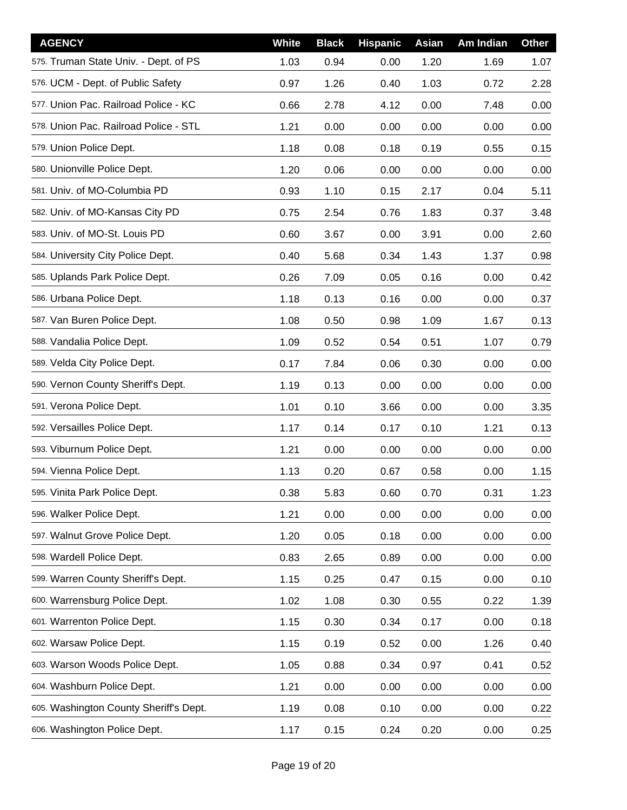| <b>AGENCY</b>                          | White | <b>Black</b> | <b>Hispanic</b> | Asian | Am Indian | Other |
|----------------------------------------|-------|--------------|-----------------|-------|-----------|-------|
| 575. Truman State Univ. - Dept. of PS  | 1.03  | 0.94         | 0.00            | 1.20  | 1.69      | 1.07  |
| 576. UCM - Dept. of Public Safety      | 0.97  | 1.26         | 0.40            | 1.03  | 0.72      | 2.28  |
| 577. Union Pac. Railroad Police - KC   | 0.66  | 2.78         | 4.12            | 0.00  | 7.48      | 0.00  |
| 578. Union Pac. Railroad Police - STL  | 1.21  | 0.00         | 0.00            | 0.00  | 0.00      | 0.00  |
| 579. Union Police Dept.                | 1.18  | 0.08         | 0.18            | 0.19  | 0.55      | 0.15  |
| 580. Unionville Police Dept.           | 1.20  | 0.06         | 0.00            | 0.00  | 0.00      | 0.00  |
| 581. Univ. of MO-Columbia PD           | 0.93  | 1.10         | 0.15            | 2.17  | 0.04      | 5.11  |
| 582. Univ. of MO-Kansas City PD        | 0.75  | 2.54         | 0.76            | 1.83  | 0.37      | 3.48  |
| 583. Univ. of MO-St. Louis PD          | 0.60  | 3.67         | 0.00            | 3.91  | 0.00      | 2.60  |
| 584. University City Police Dept.      | 0.40  | 5.68         | 0.34            | 1.43  | 1.37      | 0.98  |
| 585. Uplands Park Police Dept.         | 0.26  | 7.09         | 0.05            | 0.16  | 0.00      | 0.42  |
| 586. Urbana Police Dept.               | 1.18  | 0.13         | 0.16            | 0.00  | 0.00      | 0.37  |
| 587. Van Buren Police Dept.            | 1.08  | 0.50         | 0.98            | 1.09  | 1.67      | 0.13  |
| 588. Vandalia Police Dept.             | 1.09  | 0.52         | 0.54            | 0.51  | 1.07      | 0.79  |
| 589. Velda City Police Dept.           | 0.17  | 7.84         | 0.06            | 0.30  | 0.00      | 0.00  |
| 590. Vernon County Sheriff's Dept.     | 1.19  | 0.13         | 0.00            | 0.00  | 0.00      | 0.00  |
| 591. Verona Police Dept.               | 1.01  | 0.10         | 3.66            | 0.00  | 0.00      | 3.35  |
| 592. Versailles Police Dept.           | 1.17  | 0.14         | 0.17            | 0.10  | 1.21      | 0.13  |
| 593. Viburnum Police Dept.             | 1.21  | 0.00         | 0.00            | 0.00  | 0.00      | 0.00  |
| 594. Vienna Police Dept.               | 1.13  | 0.20         | 0.67            | 0.58  | 0.00      | 1.15  |
| 595. Vinita Park Police Dept.          | 0.38  | 5.83         | 0.60            | 0.70  | 0.31      | 1.23  |
| 596. Walker Police Dept.               | 1.21  | 0.00         | 0.00            | 0.00  | 0.00      | 0.00  |
| 597. Walnut Grove Police Dept.         | 1.20  | 0.05         | 0.18            | 0.00  | 0.00      | 0.00  |
| 598. Wardell Police Dept.              | 0.83  | 2.65         | 0.89            | 0.00  | 0.00      | 0.00  |
| 599. Warren County Sheriff's Dept.     | 1.15  | 0.25         | 0.47            | 0.15  | 0.00      | 0.10  |
| 600. Warrensburg Police Dept.          | 1.02  | 1.08         | 0.30            | 0.55  | 0.22      | 1.39  |
| 601. Warrenton Police Dept.            | 1.15  | 0.30         | 0.34            | 0.17  | 0.00      | 0.18  |
| 602. Warsaw Police Dept.               | 1.15  | 0.19         | 0.52            | 0.00  | 1.26      | 0.40  |
| 603. Warson Woods Police Dept.         | 1.05  | 0.88         | 0.34            | 0.97  | 0.41      | 0.52  |
| 604. Washburn Police Dept.             | 1.21  | 0.00         | 0.00            | 0.00  | 0.00      | 0.00  |
| 605. Washington County Sheriff's Dept. | 1.19  | 0.08         | 0.10            | 0.00  | 0.00      | 0.22  |
| 606. Washington Police Dept.           | 1.17  | 0.15         | 0.24            | 0.20  | 0.00      | 0.25  |